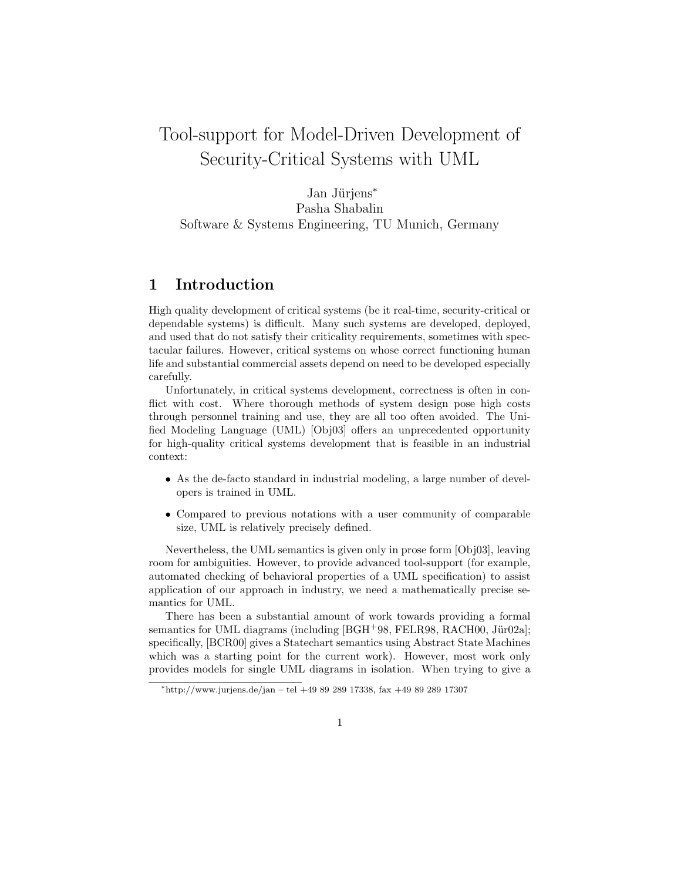# Tool-support for Model-Driven Development of Security-Critical Systems with UML

Jan Jürjens<sup>\*</sup> Pasha Shabalin Software & Systems Engineering, TU Munich, Germany

### 1 Introduction

High quality development of critical systems (be it real-time, security-critical or dependable systems) is difficult. Many such systems are developed, deployed, and used that do not satisfy their criticality requirements, sometimes with spectacular failures. However, critical systems on whose correct functioning human life and substantial commercial assets depend on need to be developed especially carefully.

Unfortunately, in critical systems development, correctness is often in conflict with cost. Where thorough methods of system design pose high costs through personnel training and use, they are all too often avoided. The Unified Modeling Language (UML) [Obj03] offers an unprecedented opportunity for high-quality critical systems development that is feasible in an industrial context:

- As the de-facto standard in industrial modeling, a large number of developers is trained in UML.
- Compared to previous notations with a user community of comparable size, UML is relatively precisely defined.

Nevertheless, the UML semantics is given only in prose form [Obj03], leaving room for ambiguities. However, to provide advanced tool-support (for example, automated checking of behavioral properties of a UML specification) to assist application of our approach in industry, we need a mathematically precise semantics for UML.

There has been a substantial amount of work towards providing a formal semantics for UML diagrams (including  $[BGH<sup>+</sup>98, FELR98, RACH00, Jür02a]$ ; specifically, [BCR00] gives a Statechart semantics using Abstract State Machines which was a starting point for the current work). However, most work only provides models for single UML diagrams in isolation. When trying to give a

<sup>∗</sup>http://www.jurjens.de/jan – tel +49 89 289 17338, fax +49 89 289 17307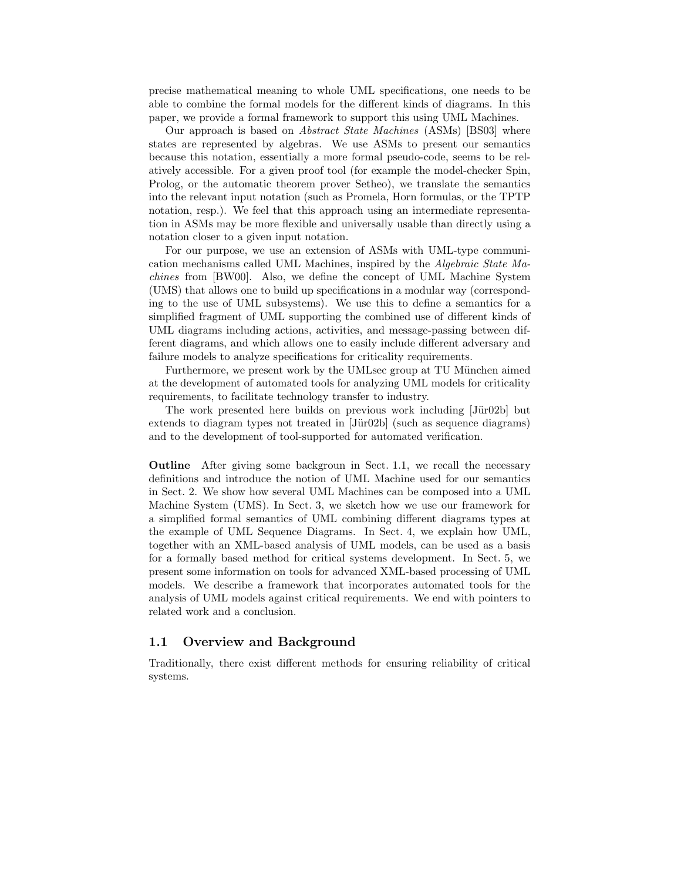precise mathematical meaning to whole UML specifications, one needs to be able to combine the formal models for the different kinds of diagrams. In this paper, we provide a formal framework to support this using UML Machines.

Our approach is based on Abstract State Machines (ASMs) [BS03] where states are represented by algebras. We use ASMs to present our semantics because this notation, essentially a more formal pseudo-code, seems to be relatively accessible. For a given proof tool (for example the model-checker Spin, Prolog, or the automatic theorem prover Setheo), we translate the semantics into the relevant input notation (such as Promela, Horn formulas, or the TPTP notation, resp.). We feel that this approach using an intermediate representation in ASMs may be more flexible and universally usable than directly using a notation closer to a given input notation.

For our purpose, we use an extension of ASMs with UML-type communication mechanisms called UML Machines, inspired by the Algebraic State Machines from [BW00]. Also, we define the concept of UML Machine System (UMS) that allows one to build up specifications in a modular way (corresponding to the use of UML subsystems). We use this to define a semantics for a simplified fragment of UML supporting the combined use of different kinds of UML diagrams including actions, activities, and message-passing between different diagrams, and which allows one to easily include different adversary and failure models to analyze specifications for criticality requirements.

Furthermore, we present work by the UMLsec group at TU München aimed at the development of automated tools for analyzing UML models for criticality requirements, to facilitate technology transfer to industry.

The work presented here builds on previous work including [Jür02b] but extends to diagram types not treated in  $\text{Jür02b}$  (such as sequence diagrams) and to the development of tool-supported for automated verification.

Outline After giving some backgroun in Sect. 1.1, we recall the necessary definitions and introduce the notion of UML Machine used for our semantics in Sect. 2. We show how several UML Machines can be composed into a UML Machine System (UMS). In Sect. 3, we sketch how we use our framework for a simplified formal semantics of UML combining different diagrams types at the example of UML Sequence Diagrams. In Sect. 4, we explain how UML, together with an XML-based analysis of UML models, can be used as a basis for a formally based method for critical systems development. In Sect. 5, we present some information on tools for advanced XML-based processing of UML models. We describe a framework that incorporates automated tools for the analysis of UML models against critical requirements. We end with pointers to related work and a conclusion.

#### 1.1 Overview and Background

Traditionally, there exist different methods for ensuring reliability of critical systems.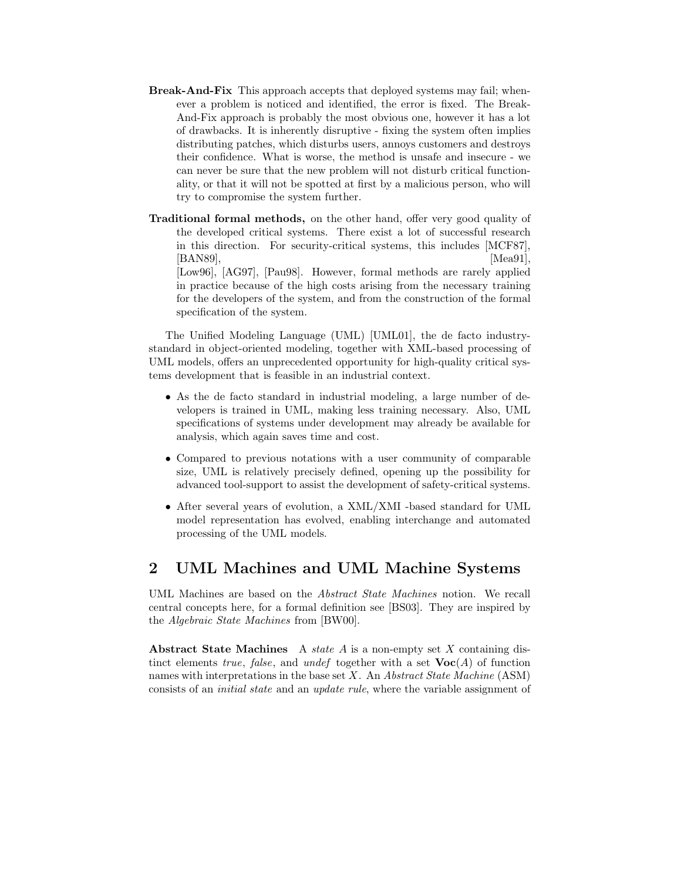- Break-And-Fix This approach accepts that deployed systems may fail; whenever a problem is noticed and identified, the error is fixed. The Break-And-Fix approach is probably the most obvious one, however it has a lot of drawbacks. It is inherently disruptive - fixing the system often implies distributing patches, which disturbs users, annoys customers and destroys their confidence. What is worse, the method is unsafe and insecure - we can never be sure that the new problem will not disturb critical functionality, or that it will not be spotted at first by a malicious person, who will try to compromise the system further.
- Traditional formal methods, on the other hand, offer very good quality of the developed critical systems. There exist a lot of successful research in this direction. For security-critical systems, this includes [MCF87], [BAN89], [Mea91], [Mea91], [Mea91], [Mea91], [Mea91], [Mea91], [Mea91], [Mea91], [Mea91], [Mea91], [Mea91], [Mea91], [Mea91], [Mea91], [Mea91], [Mea91], [Mea91], [Mea91], [Mea91], [Mea91], [Mea91], [Mea91], [Mea91], [Mea91 [Low96], [AG97], [Pau98]. However, formal methods are rarely applied in practice because of the high costs arising from the necessary training for the developers of the system, and from the construction of the formal specification of the system.

The Unified Modeling Language (UML) [UML01], the de facto industrystandard in object-oriented modeling, together with XML-based processing of UML models, offers an unprecedented opportunity for high-quality critical systems development that is feasible in an industrial context.

- As the de facto standard in industrial modeling, a large number of developers is trained in UML, making less training necessary. Also, UML specifications of systems under development may already be available for analysis, which again saves time and cost.
- Compared to previous notations with a user community of comparable size, UML is relatively precisely defined, opening up the possibility for advanced tool-support to assist the development of safety-critical systems.
- After several years of evolution, a XML/XMI -based standard for UML model representation has evolved, enabling interchange and automated processing of the UML models.

## 2 UML Machines and UML Machine Systems

UML Machines are based on the Abstract State Machines notion. We recall central concepts here, for a formal definition see [BS03]. They are inspired by the Algebraic State Machines from [BW00].

Abstract State Machines A state  $A$  is a non-empty set  $X$  containing distinct elements true, false, and undef together with a set  $\text{Voc}(A)$  of function names with interpretations in the base set  $X$ . An Abstract State Machine (ASM) consists of an initial state and an update rule, where the variable assignment of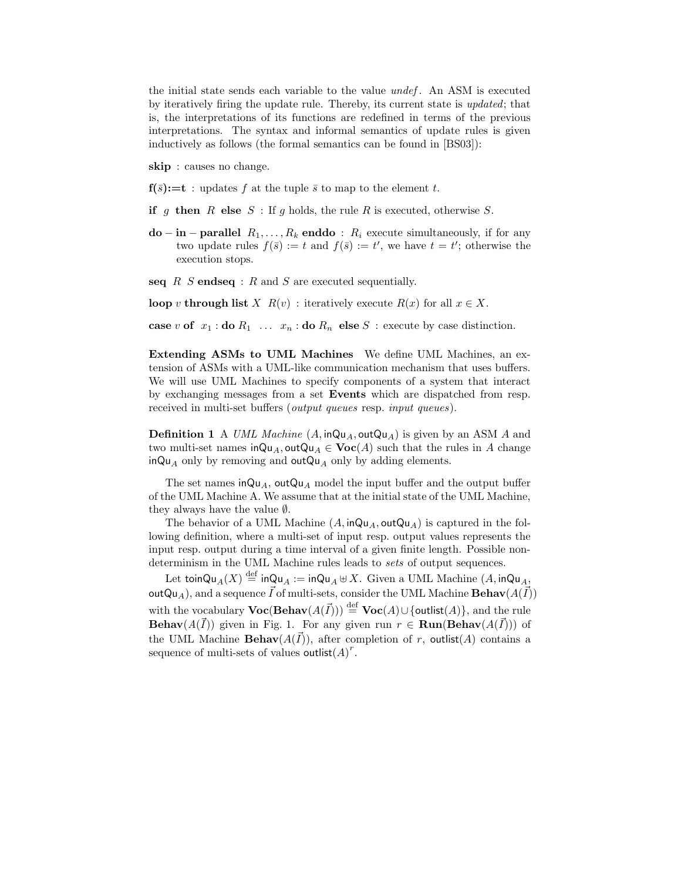the initial state sends each variable to the value undef . An ASM is executed by iteratively firing the update rule. Thereby, its current state is updated; that is, the interpretations of its functions are redefined in terms of the previous interpretations. The syntax and informal semantics of update rules is given inductively as follows (the formal semantics can be found in [BS03]):

skip : causes no change.

 $f(\bar{s}):=t$ : updates f at the tuple  $\bar{s}$  to map to the element t.

if g then R else  $S$ : If g holds, the rule R is executed, otherwise S.

 $$ two update rules  $f(\bar{s}) := t$  and  $f(\bar{s}) := t'$ , we have  $t = t'$ ; otherwise the execution stops.

seq  $R$   $S$  endseq :  $R$  and  $S$  are executed sequentially.

**loop** v through list X  $R(v)$  : iteratively execute  $R(x)$  for all  $x \in X$ .

case v of  $x_1$  : do  $R_1$  ...  $x_n$  : do  $R_n$  else S : execute by case distinction.

Extending ASMs to UML Machines We define UML Machines, an extension of ASMs with a UML-like communication mechanism that uses buffers. We will use UML Machines to specify components of a system that interact by exchanging messages from a set Events which are dispatched from resp. received in multi-set buffers (output queues resp. input queues).

**Definition 1** A *UML Machine*  $(A, \text{inQu}_A, \text{outQu}_A)$  is given by an ASM A and two multi-set names  $\text{in}Q_{\mathsf{u}_A}$ , out $Q_{\mathsf{u}_A} \in \textbf{Voc}(A)$  such that the rules in A change  $inQu<sub>A</sub>$  only by removing and outQu<sub>A</sub> only by adding elements.

The set names  $\mathsf{inQu}_A$ , out $\mathsf{Qu}_A$  model the input buffer and the output buffer of the UML Machine A. We assume that at the initial state of the UML Machine, they always have the value ∅.

The behavior of a UML Machine  $(A, \text{inQu}_A, \text{outQu}_A)$  is captured in the following definition, where a multi-set of input resp. output values represents the input resp. output during a time interval of a given finite length. Possible nondeterminism in the UML Machine rules leads to sets of output sequences.

Let toin $\mathsf{Qu}_A(X)\stackrel{\mathrm{def}}{=} \mathsf{in} \mathsf{Qu}_A:=\mathsf{in} \mathsf{Qu}_A \uplus X.$  Given a UML Machine  $(A,\mathsf{in} \mathsf{Qu}_A,$  $\mathsf{outQu}_A),$  and a sequence  $\vec{I}$  of multi-sets, consider the UML Machine  $\mathbf{Behav}(A(\vec{I}))$ with the vocabulary  $\mathbf{Voc}(\mathbf{Behav}(A(\vec{I}))) \stackrel{\text{def}}{=} \mathbf{Voc}(A) \cup \{\mathsf{outlist}(A)\}\text{, and the rule}$ **Behav** $(A(\vec{I}))$  given in Fig. 1. For any given run  $r \in \text{Run}(\text{Behav}(A(\vec{I})))$  of the UML Machine **Behav** $(A(\vec{I}))$ , after completion of r, outlist $(A)$  contains a sequence of multi-sets of values outlist $(A)^r$ .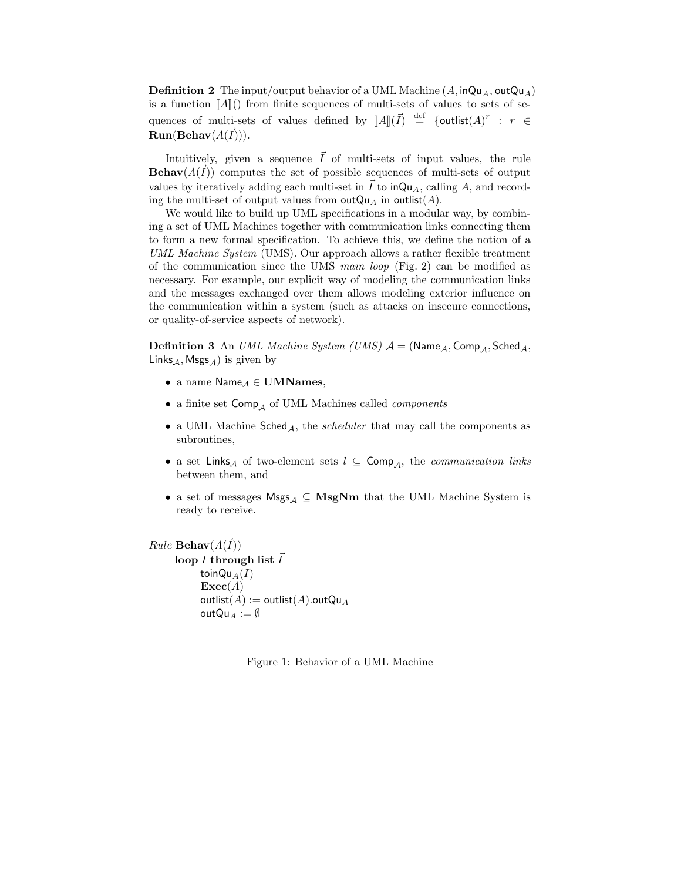**Definition 2** The input/output behavior of a UML Machine  $(A, \text{inQu}_A, \text{outQu}_A)$ is a function  $\llbracket A \rrbracket$  () from finite sequences of multi-sets of values to sets of sequences of multi-sets of values defined by  $[[A]](\vec{I}) \stackrel{\text{def}}{=}$  {outlist $(A)^r : r \in$  $\textbf{Run}(\textbf{Behav}(A(\vec{I}))).$ 

Intuitively, given a sequence  $\vec{I}$  of multi-sets of input values, the rule **Behav** $(A(\vec{I}))$  computes the set of possible sequences of multi-sets of output values by iteratively adding each multi-set in  $\vec{I}$  to in $\mathsf{Qu}_{A}$ , calling A, and recording the multi-set of output values from  $\text{outQu}_A$  in  $\text{outlist}(A)$ .

We would like to build up UML specifications in a modular way, by combining a set of UML Machines together with communication links connecting them to form a new formal specification. To achieve this, we define the notion of a UML Machine System (UMS). Our approach allows a rather flexible treatment of the communication since the UMS main loop (Fig. 2) can be modified as necessary. For example, our explicit way of modeling the communication links and the messages exchanged over them allows modeling exterior influence on the communication within a system (such as attacks on insecure connections, or quality-of-service aspects of network).

**Definition 3** An *UML Machine System (UMS)*  $A = (Name_A, Comp_A, Sched_A,$ Links<sub>A</sub>, Msgs<sub>A</sub>) is given by

- a name  $Name_A \in UMNames$ ,
- a finite set  $Comp_A$  of UML Machines called *components*
- a UML Machine  $Sched_A$ , the *scheduler* that may call the components as subroutines,
- a set Links<sub>A</sub> of two-element sets  $l \subseteq \text{Comp}_A$ , the *communication links* between them, and
- a set of messages  $\mathsf{Msgs}_A \subseteq \mathsf{MsgNm}$  that the UML Machine System is ready to receive.

```
Rule \textbf{ Behavior}(A(\vec{I}))loop I through list \vec{I}toin\mathsf{Qu}_A(I)\textbf{Exec}(A)outlist(A) := outlist(A).outQu<sub>A</sub>
                outQu<sub>A</sub> := \emptyset
```
Figure 1: Behavior of a UML Machine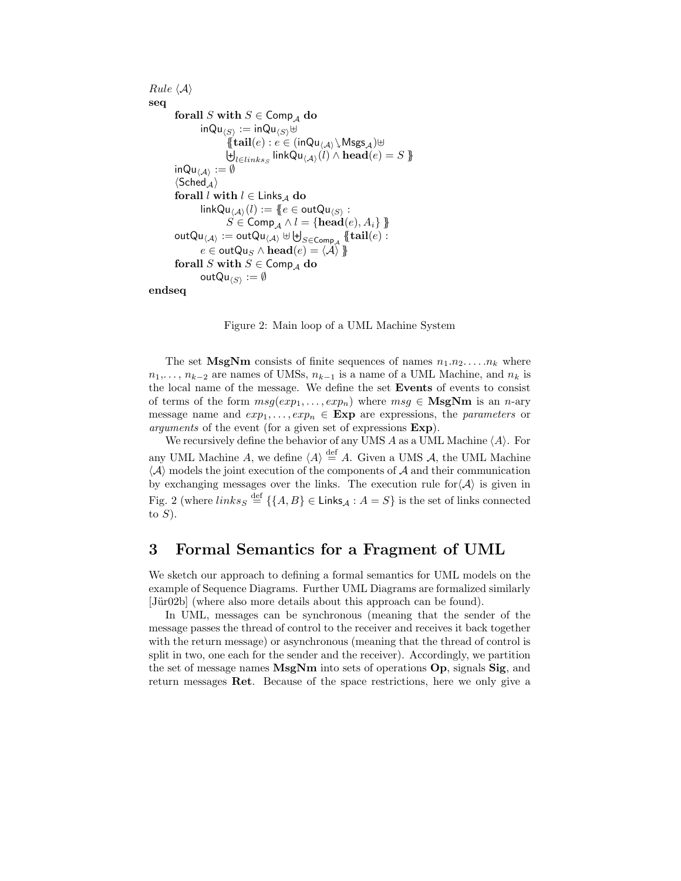```
Rule \langle A \rangleseq
              forall S with S \in \textsf{Comp}_{\mathcal{A}} do
                            {\sf inQu}_{\langle S\rangle}:={\sf inQu}_{\langle S\rangle}\uplus\{\!\!\{ \mathsf{tail}(e) : e \in (\mathsf{inQu}_{\langle \mathcal{A} \rangle} \!\!\setminus\! \mathsf{Msgs}_{\mathcal{A}}) \!\uplus\biguplus_{l\in links_S}\mathsf{linkQu}_{\langle \mathcal{A}\rangle}(l)\land \mathbf{head}(e)=S \}\mathsf{inQu}_{\langle \mathcal{A} \rangle} := \emptyset\langleSched_A \rangleforall l with l \in Links<sub>A</sub> do
                            {\sf linkQu}_{\langle\mathcal{A}\rangle}(l):=\{ \!\!\{ e\in {\sf outQu}_{\langle S\rangle}:\;S \in \text{Comp}_{\mathcal{A}} \wedge l = \{\text{head}(e), A_i\}\mathsf{outQu}_{\langle \mathcal{A}\rangle}:=\mathsf{outQu}_{\langle \mathcal{A}\rangle }\uplus \biguplus_{S\in \mathsf{Comp}_\mathcal{A}}\mathsf{\{tail}(e):e \in \textsf{outQu}_S \land \textbf{head}(e) = \langle A \rangleforall S with S \in \text{Comp}_A do
                            out\mathsf{Qu}_{\langle S \rangle}:=\emptysetendseq
```
Figure 2: Main loop of a UML Machine System

The set MsgNm consists of finite sequences of names  $n_1 \n_2 \ldots \n_n$  where  $n_1, \ldots, n_{k-2}$  are names of UMSs,  $n_{k-1}$  is a name of a UML Machine, and  $n_k$  is the local name of the message. We define the set Events of events to consist of terms of the form  $msg(exp_1, \ldots, exp_n)$  where  $msg \in \textbf{MsgNm}$  is an *n*-ary message name and  $exp_1, \ldots, exp_n \in \mathbf{Exp}$  are expressions, the *parameters* or arguments of the event (for a given set of expressions  $Exp$ ).

We recursively define the behavior of any UMS  $A$  as a UML Machine  $\langle A \rangle$ . For any UML Machine A, we define  $\langle A \rangle \stackrel{\text{def}}{=} A$ . Given a UMS A, the UML Machine  $\langle A \rangle$  models the joint execution of the components of A and their communication by exchanging messages over the links. The execution rule for  $\langle A \rangle$  is given in Fig. 2 (where  $links_S \stackrel{\text{def}}{=} \{\{A, B\} \in \mathsf{Links}_{\mathcal{A}} : A = S\}$  is the set of links connected to  $S$ ).

## 3 Formal Semantics for a Fragment of UML

We sketch our approach to defining a formal semantics for UML models on the example of Sequence Diagrams. Further UML Diagrams are formalized similarly [Jür02b] (where also more details about this approach can be found).

In UML, messages can be synchronous (meaning that the sender of the message passes the thread of control to the receiver and receives it back together with the return message) or asynchronous (meaning that the thread of control is split in two, one each for the sender and the receiver). Accordingly, we partition the set of message names  $MsgNm$  into sets of operations  $Op$ , signals  $Sig$ , and return messages Ret. Because of the space restrictions, here we only give a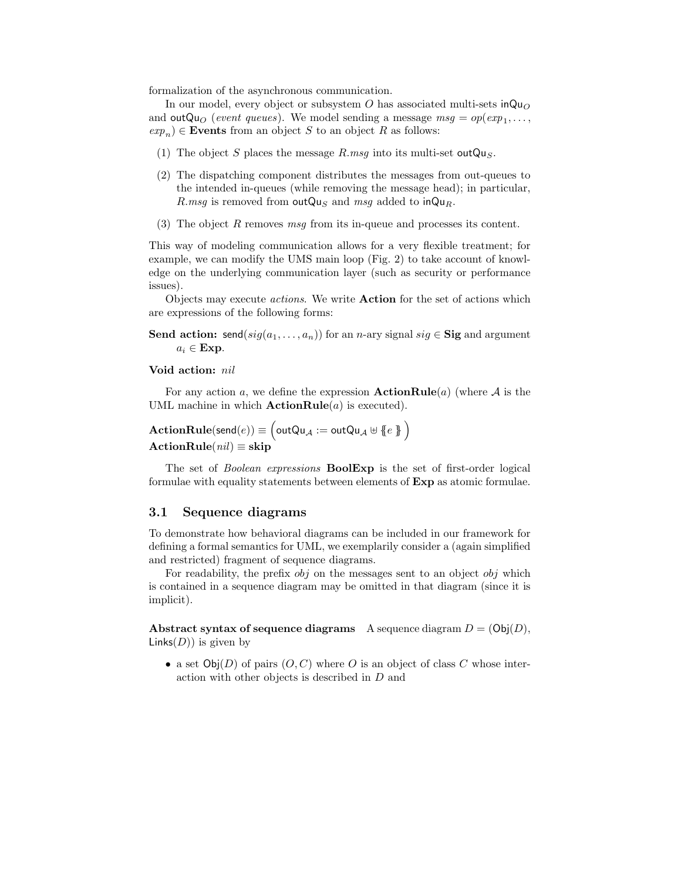formalization of the asynchronous communication.

In our model, every object or subsystem O has associated multi-sets  $\mathsf{inQu}_O$ and outQu<sub>O</sub> (event queues). We model sending a message  $msg = op(exp_1, \ldots,$  $exp_n$ ) ∈ Events from an object S to an object R as follows:

- (1) The object S places the message  $R.msg$  into its multi-set out $\mathsf{Qu}_S$ .
- (2) The dispatching component distributes the messages from out-queues to the intended in-queues (while removing the message head); in particular, *R.msg* is removed from out $\mathsf{Qu}_S$  and msg added to in $\mathsf{Qu}_R$ .
- (3) The object  $R$  removes msg from its in-queue and processes its content.

This way of modeling communication allows for a very flexible treatment; for example, we can modify the UMS main loop (Fig. 2) to take account of knowledge on the underlying communication layer (such as security or performance issues).

Objects may execute actions. We write Action for the set of actions which are expressions of the following forms:

Send action: send(sig(a<sub>1</sub>, ..., a<sub>n</sub>)) for an n-ary signal sig ∈ Sig and argument  $a_i \in \mathrm{Exp}.$ 

#### Void action: nil

For any action a, we define the expression  $ActionRule(a)$  (where A is the UML machine in which  $ActionRule(a)$  is executed).

ActionRule(send(e)) 
$$
\equiv
$$
 (outQu<sub>A</sub> := outQu<sub>A</sub>  $\uplus$  { $e$  })  
ActionRule( $nil$ )  $\equiv$  skip

The set of Boolean expressions BoolExp is the set of first-order logical formulae with equality statements between elements of Exp as atomic formulae.

#### 3.1 Sequence diagrams

To demonstrate how behavioral diagrams can be included in our framework for defining a formal semantics for UML, we exemplarily consider a (again simplified and restricted) fragment of sequence diagrams.

For readability, the prefix *obj* on the messages sent to an object *obj* which is contained in a sequence diagram may be omitted in that diagram (since it is implicit).

Abstract syntax of sequence diagrams A sequence diagram  $D = (Obj(D)),$  $\textsf{Links}(D)$ ) is given by

• a set  $\text{Obj}(D)$  of pairs  $(O, C)$  where O is an object of class C whose interaction with other objects is described in D and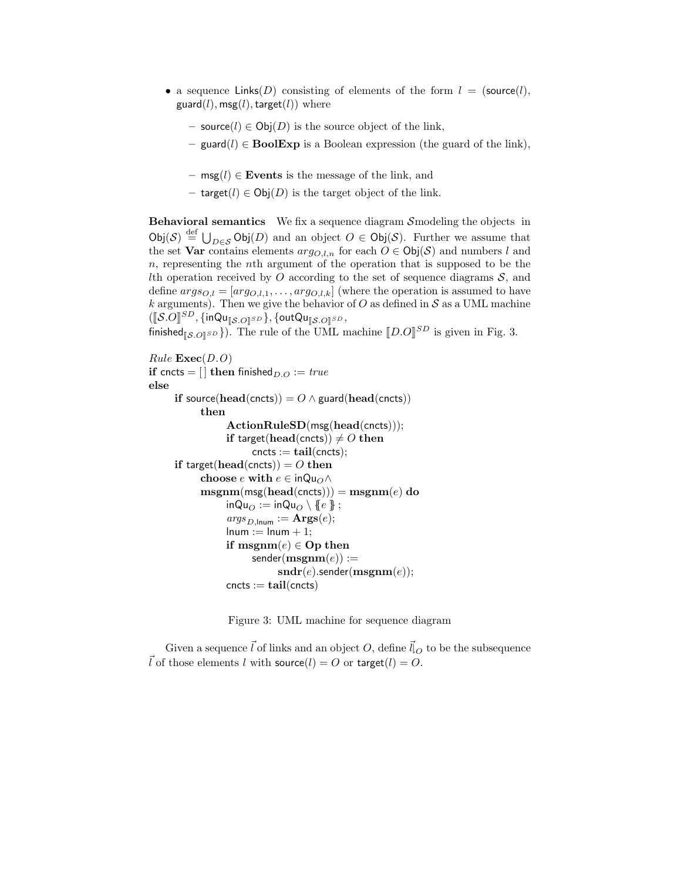- a sequence Links(D) consisting of elements of the form  $l = (source(l),$  $\text{guard}(l)$ , msg $(l)$ , target $(l)$ ) where
	- source(l) ∈ Obj(D) is the source object of the link,
	- guard(l) ∈ BoolExp is a Boolean expression (the guard of the link),
	- msg(l) ∈ Events is the message of the link, and
	- target(l) ∈ Obj(D) is the target object of the link.

Behavioral semantics We fix a sequence diagram Smodeling the objects in  $\text{Obj}(\mathcal{S}) \stackrel{\text{def}}{=} \bigcup_{D \in \mathcal{S}} \text{Obj}(D)$  and an object  $O \in \text{Obj}(\mathcal{S})$ . Further we assume that the set **Var** contains elements  $arg_{O,l,n}$  for each  $O \in \text{Obj}(\mathcal{S})$  and numbers l and n, representing the nth argument of the operation that is supposed to be the Ith operation received by  $O$  according to the set of sequence diagrams  $S$ , and define  $args_{O,l} = [arg_{O,l,1}, \ldots, arg_{O,l,k}]$  (where the operation is assumed to have k arguments). Then we give the behavior of  $O$  as defined in  $S$  as a UML machine  $(\llbracket \mathcal{S}.O\rrbracket^{SD}, \{\mathsf{inQu}_{\llbracket \mathcal{S}.O\rrbracket^{SD}}\}, \{\mathsf{outQu}_{\llbracket \mathcal{S}.O\rrbracket^{SD}},$ 

finished<sub>[[S.O]</sub> $SD$ }). The rule of the UML machine  $[D.O]^{SD}$  is given in Fig. 3.

```
Rule 
if cncts = [ then finished_{D.O} := true
else
       if source(head(cncts)) = O \wedge guard(head(cncts))
              then
                     ActionRuleSD(msg(head(cncts)));
                     if target(head(cncts)) \neq O then
                            cncts := tail(cncts);if target(head(cncts)) = O then
              choose e with e \in \text{inQu}_O \wedge\text{msgnm}(\text{msg}(\text{head}(\text{cncts}))) = \text{msgnm}(e) \text{ do}\mathsf{inQu}_O := \mathsf{inQu}_O \setminus \{\!\!\{e\!\!\} \};
                     args_{D, \text{lnum}} := \textbf{A} \text{rgs}(e);lnum := lnum + 1;if \text{msgnm}(e) \in \text{Op} \text{ then}{\rm sender}({\bf msgnm}(e)) :=\textbf{sndr}(e).sender(\textbf{msgnm}(e));
                     cncts := tail(cncts)
```
Figure 3: UML machine for sequence diagram

Given a sequence  $\vec{l}$  of links and an object O, define  $\vec{l}_O$  to be the subsequence  $\vec{l}$  of those elements l with source(l) = O or target(l) = O.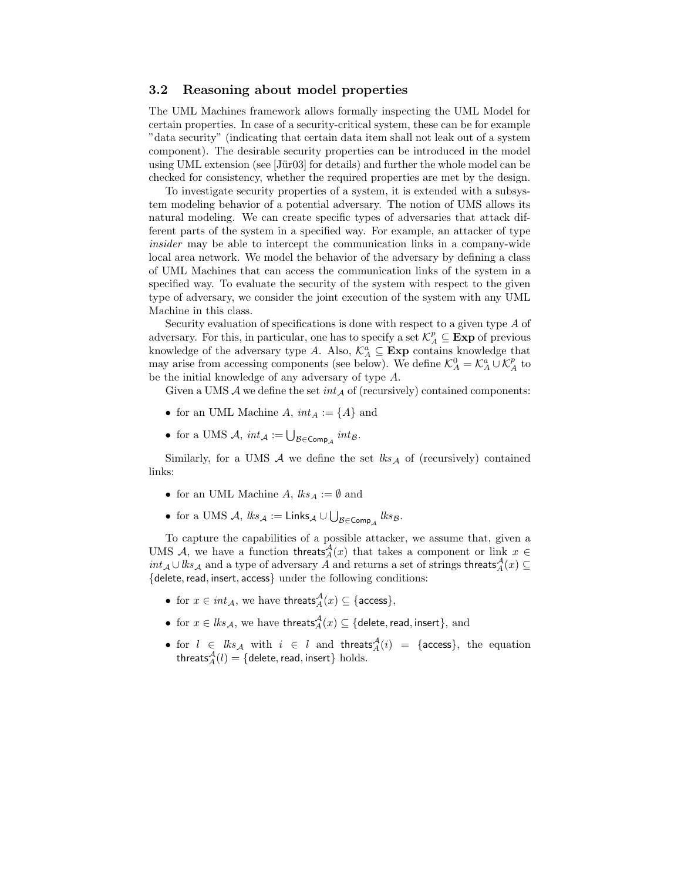#### 3.2 Reasoning about model properties

The UML Machines framework allows formally inspecting the UML Model for certain properties. In case of a security-critical system, these can be for example "data security" (indicating that certain data item shall not leak out of a system component). The desirable security properties can be introduced in the model using UML extension (see  $[\text{J\ddot{u}r03}]$  for details) and further the whole model can be checked for consistency, whether the required properties are met by the design.

To investigate security properties of a system, it is extended with a subsystem modeling behavior of a potential adversary. The notion of UMS allows its natural modeling. We can create specific types of adversaries that attack different parts of the system in a specified way. For example, an attacker of type insider may be able to intercept the communication links in a company-wide local area network. We model the behavior of the adversary by defining a class of UML Machines that can access the communication links of the system in a specified way. To evaluate the security of the system with respect to the given type of adversary, we consider the joint execution of the system with any UML Machine in this class.

Security evaluation of specifications is done with respect to a given type A of adversary. For this, in particular, one has to specify a set  $\mathcal{K}_A^p \subseteq \mathbf{Exp}$  of previous knowledge of the adversary type A. Also,  $\mathcal{K}_A^a \subseteq \textbf{Exp}$  contains knowledge that may arise from accessing components (see below). We define  $\mathcal{K}_A^0 = \mathcal{K}_A^a \cup \mathcal{K}_A^p$  to be the initial knowledge of any adversary of type A.

Given a UMS  $\mathcal A$  we define the set  $int_{\mathcal A}$  of (recursively) contained components:

- for an UML Machine A,  $int_A := \{A\}$  and
- for a UMS  $\mathcal{A}, int_{\mathcal{A}} := \bigcup_{\mathcal{B} \in \mathsf{Comp}_{\mathcal{A}}} int_{\mathcal{B}}.$

Similarly, for a UMS  $A$  we define the set  $\mathit{lks}_A$  of (recursively) contained links:

- for an UML Machine A,  $lks_A := \emptyset$  and
- for a UMS  $A$ ,  $\mathit{lks}_A :=$  Links $_A \cup \bigcup_{B \in \mathsf{Comp}_A} \mathit{lks}_B$ .

To capture the capabilities of a possible attacker, we assume that, given a UMS A, we have a function threats  $A(x)$  that takes a component or link  $x \in$  $int_{\mathcal{A}} \cup lks_{\mathcal{A}}$  and a type of adversary  $\tilde{A}$  and returns a set of strings threats ${}_{A}^{\mathcal{A}}(x) \subseteq$ {delete, read, insert, access} under the following conditions:

- for  $x \in int_{\mathcal{A}}$ , we have threats ${}_{A}^{\mathcal{A}}(x) \subseteq {\{\text{access}\}},$
- for  $x \in lks_{\mathcal{A}},$  we have threats ${}_{A}^{\mathcal{A}}(x) \subseteq {\{\mathsf{delete}, \mathsf{read}, \mathsf{insert}\}}$ , and
- for  $l \in lks_{\mathcal{A}}$  with  $i \in l$  and threats  $A(i) = \{$  access}, the equation threats ${}^{\mathcal{A}}_A(l)=\{$ delete, read, insert $\}$  holds.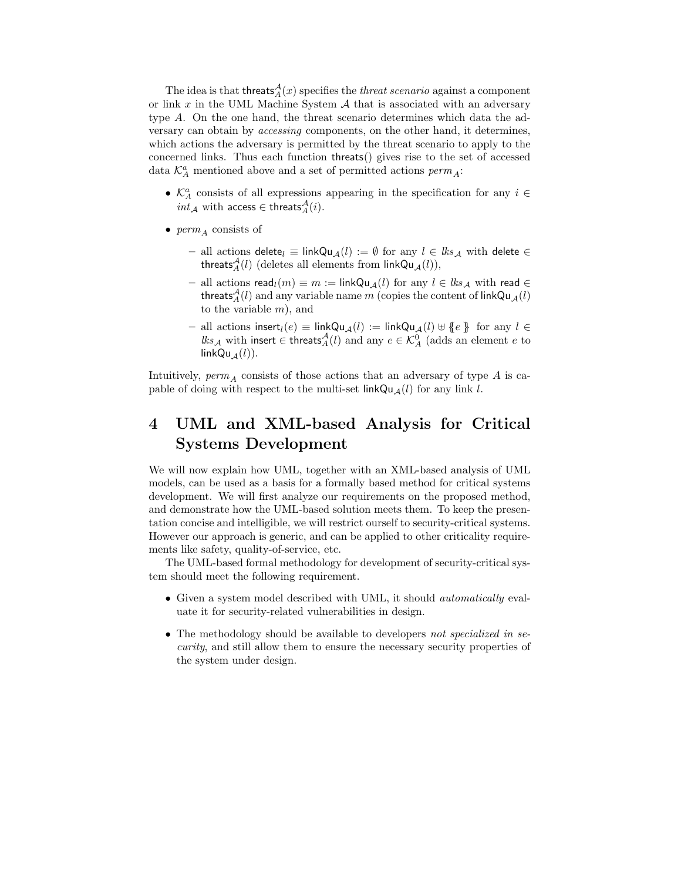The idea is that threats  $A(x)$  specifies the *threat scenario* against a component or link  $x$  in the UML Machine System  $A$  that is associated with an adversary type A. On the one hand, the threat scenario determines which data the adversary can obtain by accessing components, on the other hand, it determines, which actions the adversary is permitted by the threat scenario to apply to the concerned links. Thus each function threats() gives rise to the set of accessed data  $\mathcal{K}_A^a$  mentioned above and a set of permitted actions  $perm_A$ :

- $\bullet$   $\mathcal{K}^{a}_{A}$  consists of all expressions appearing in the specification for any  $i$   $\in$  $int_{\mathcal{A}}$  with access  $\in$  threats $_{A}^{\mathcal{A}}(i)$ .
- $perm_A$  consists of
	- all actions delete<sub>l</sub> ≡ linkQu<sub>A</sub>(l) := Ø for any  $l \in lks_{\mathcal{A}}$  with delete ∈ threats ${}_{A}^{\mathcal{A}}(l)$  (deletes all elements from linkQu ${}_{\mathcal{A}}(l)),$
	- all actions read<sub>l</sub> $(m) \equiv m := \text{linkQu}_{\mathcal{A}}(l)$  for any  $l \in lks_{\mathcal{A}}$  with read ∈ threats ${}^{\mathcal{A}}_A(l)$  and any variable name  $m$  (copies the content of linkQu ${}_{\mathcal{A}}(l)$ to the variable  $m$ ), and
	- all actions insert<sub>l</sub>(e) ≡ linkQu<sub>A</sub>(l) := linkQu<sub>A</sub>(l)  $\forall$  {{ e }} for any l ∈  $lls_{\mathcal{A}}$  with insert  $\in$  threats ${}_{\mathcal{A}}^{\mathcal{A}}(l)$  and any  $e \in \mathcal{K}_{\mathcal{A}}^0$  (adds an element  $e$  to linkQu<sub>A</sub> $(l)$ ).

Intuitively,  $perm_A$  consists of those actions that an adversary of type A is capable of doing with respect to the multi-set link $\mathsf{Qu}_{\mathcal{A}}(l)$  for any link l.

## 4 UML and XML-based Analysis for Critical Systems Development

We will now explain how UML, together with an XML-based analysis of UML models, can be used as a basis for a formally based method for critical systems development. We will first analyze our requirements on the proposed method, and demonstrate how the UML-based solution meets them. To keep the presentation concise and intelligible, we will restrict ourself to security-critical systems. However our approach is generic, and can be applied to other criticality requirements like safety, quality-of-service, etc.

The UML-based formal methodology for development of security-critical system should meet the following requirement.

- Given a system model described with UML, it should *automatically* evaluate it for security-related vulnerabilities in design.
- The methodology should be available to developers not specialized in security, and still allow them to ensure the necessary security properties of the system under design.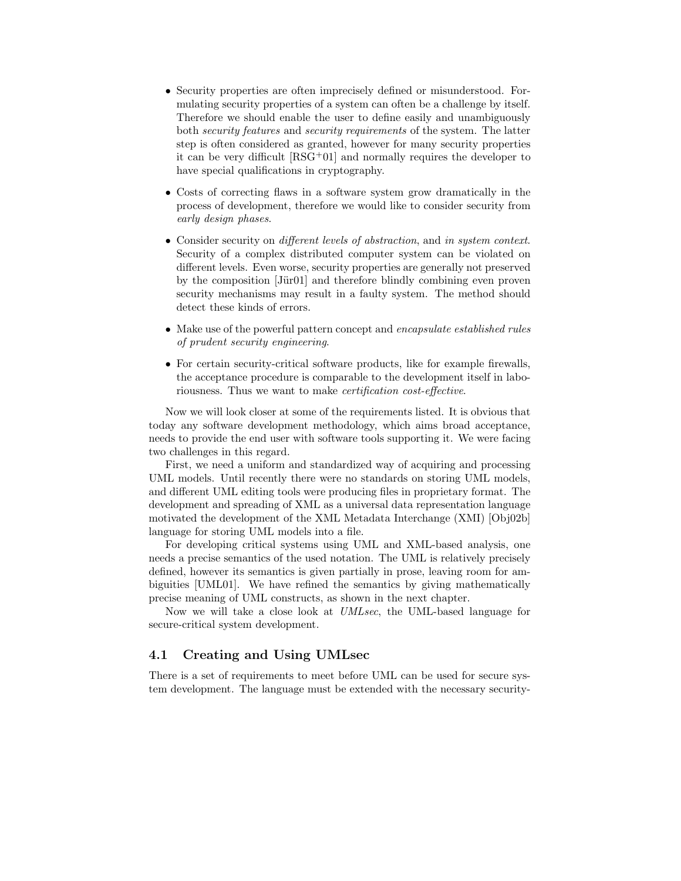- Security properties are often imprecisely defined or misunderstood. Formulating security properties of a system can often be a challenge by itself. Therefore we should enable the user to define easily and unambiguously both security features and security requirements of the system. The latter step is often considered as granted, however for many security properties it can be very difficult  $[{\rm RSG}^+01]$  and normally requires the developer to have special qualifications in cryptography.
- Costs of correcting flaws in a software system grow dramatically in the process of development, therefore we would like to consider security from early design phases.
- Consider security on different levels of abstraction, and in system context. Security of a complex distributed computer system can be violated on different levels. Even worse, security properties are generally not preserved by the composition [Jür01] and therefore blindly combining even proven security mechanisms may result in a faulty system. The method should detect these kinds of errors.
- Make use of the powerful pattern concept and encapsulate established rules of prudent security engineering.
- For certain security-critical software products, like for example firewalls, the acceptance procedure is comparable to the development itself in laboriousness. Thus we want to make certification cost-effective.

Now we will look closer at some of the requirements listed. It is obvious that today any software development methodology, which aims broad acceptance, needs to provide the end user with software tools supporting it. We were facing two challenges in this regard.

First, we need a uniform and standardized way of acquiring and processing UML models. Until recently there were no standards on storing UML models, and different UML editing tools were producing files in proprietary format. The development and spreading of XML as a universal data representation language motivated the development of the XML Metadata Interchange (XMI) [Obj02b] language for storing UML models into a file.

For developing critical systems using UML and XML-based analysis, one needs a precise semantics of the used notation. The UML is relatively precisely defined, however its semantics is given partially in prose, leaving room for ambiguities [UML01]. We have refined the semantics by giving mathematically precise meaning of UML constructs, as shown in the next chapter.

Now we will take a close look at UMLsec, the UML-based language for secure-critical system development.

#### 4.1 Creating and Using UMLsec

There is a set of requirements to meet before UML can be used for secure system development. The language must be extended with the necessary security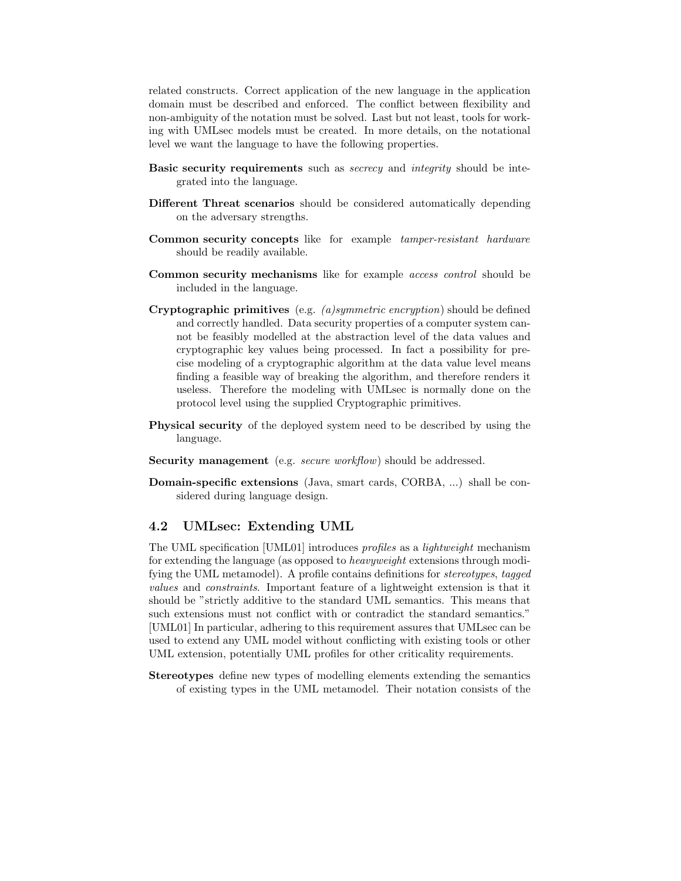related constructs. Correct application of the new language in the application domain must be described and enforced. The conflict between flexibility and non-ambiguity of the notation must be solved. Last but not least, tools for working with UMLsec models must be created. In more details, on the notational level we want the language to have the following properties.

- **Basic security requirements** such as *secrecy* and *integrity* should be integrated into the language.
- Different Threat scenarios should be considered automatically depending on the adversary strengths.
- Common security concepts like for example tamper-resistant hardware should be readily available.
- Common security mechanisms like for example *access control* should be included in the language.
- Cryptographic primitives (e.g. (a)symmetric encryption) should be defined and correctly handled. Data security properties of a computer system cannot be feasibly modelled at the abstraction level of the data values and cryptographic key values being processed. In fact a possibility for precise modeling of a cryptographic algorithm at the data value level means finding a feasible way of breaking the algorithm, and therefore renders it useless. Therefore the modeling with UMLsec is normally done on the protocol level using the supplied Cryptographic primitives.
- Physical security of the deployed system need to be described by using the language.
- Security management (e.g. *secure workflow*) should be addressed.
- Domain-specific extensions (Java, smart cards, CORBA, ...) shall be considered during language design.

#### 4.2 UMLsec: Extending UML

The UML specification [UML01] introduces profiles as a lightweight mechanism for extending the language (as opposed to heavyweight extensions through modifying the UML metamodel). A profile contains definitions for stereotypes, tagged values and constraints. Important feature of a lightweight extension is that it should be "strictly additive to the standard UML semantics. This means that such extensions must not conflict with or contradict the standard semantics." [UML01] In particular, adhering to this requirement assures that UMLsec can be used to extend any UML model without conflicting with existing tools or other UML extension, potentially UML profiles for other criticality requirements.

Stereotypes define new types of modelling elements extending the semantics of existing types in the UML metamodel. Their notation consists of the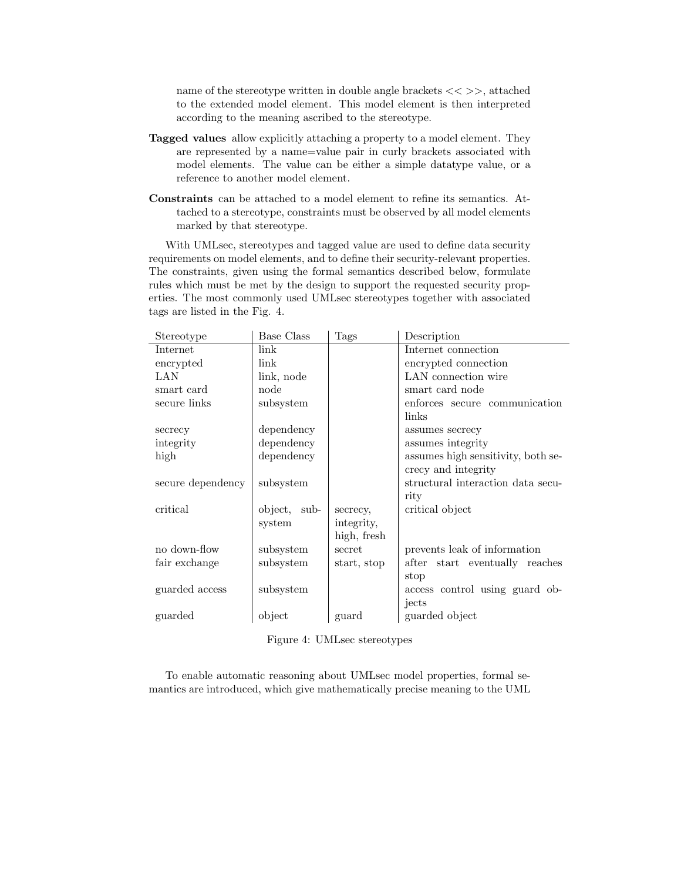name of the stereotype written in double angle brackets  $\langle \langle \rangle \rangle$ , attached to the extended model element. This model element is then interpreted according to the meaning ascribed to the stereotype.

- Tagged values allow explicitly attaching a property to a model element. They are represented by a name=value pair in curly brackets associated with model elements. The value can be either a simple datatype value, or a reference to another model element.
- Constraints can be attached to a model element to refine its semantics. Attached to a stereotype, constraints must be observed by all model elements marked by that stereotype.

With UMLsec, stereotypes and tagged value are used to define data security requirements on model elements, and to define their security-relevant properties. The constraints, given using the formal semantics described below, formulate rules which must be met by the design to support the requested security properties. The most commonly used UMLsec stereotypes together with associated tags are listed in the Fig. 4.

| Stereotype        | Base Class            | <b>Tags</b> | Description                        |
|-------------------|-----------------------|-------------|------------------------------------|
| Internet          | $\operatorname{link}$ |             | Internet connection                |
| encrypted         | link                  |             | encrypted connection               |
| LAN               | link, node            |             | LAN connection wire                |
| smart card        | node                  |             | smart card node                    |
| secure links      | subsystem             |             | enforces secure communication      |
|                   |                       |             | links                              |
| secrecy           | dependency            |             | assumes secrecy                    |
| integrity         | dependency            |             | assumes integrity                  |
| high              | dependency            |             | assumes high sensitivity, both se- |
|                   |                       |             | crecy and integrity                |
| secure dependency | subsystem             |             | structural interaction data secu-  |
|                   |                       |             | rity                               |
| critical          | object, sub-          | secrecy,    | critical object                    |
|                   | system                | integrity,  |                                    |
|                   |                       | high, fresh |                                    |
| no down-flow      | subsystem             | secret      | prevents leak of information       |
| fair exchange     | subsystem             | start, stop | after start eventually reaches     |
|                   |                       |             | stop                               |
| guarded access    | subsystem             |             | access control using guard ob-     |
|                   |                       |             | jects                              |
| guarded           | object                | guard       | guarded object                     |

Figure 4: UMLsec stereotypes

To enable automatic reasoning about UMLsec model properties, formal semantics are introduced, which give mathematically precise meaning to the UML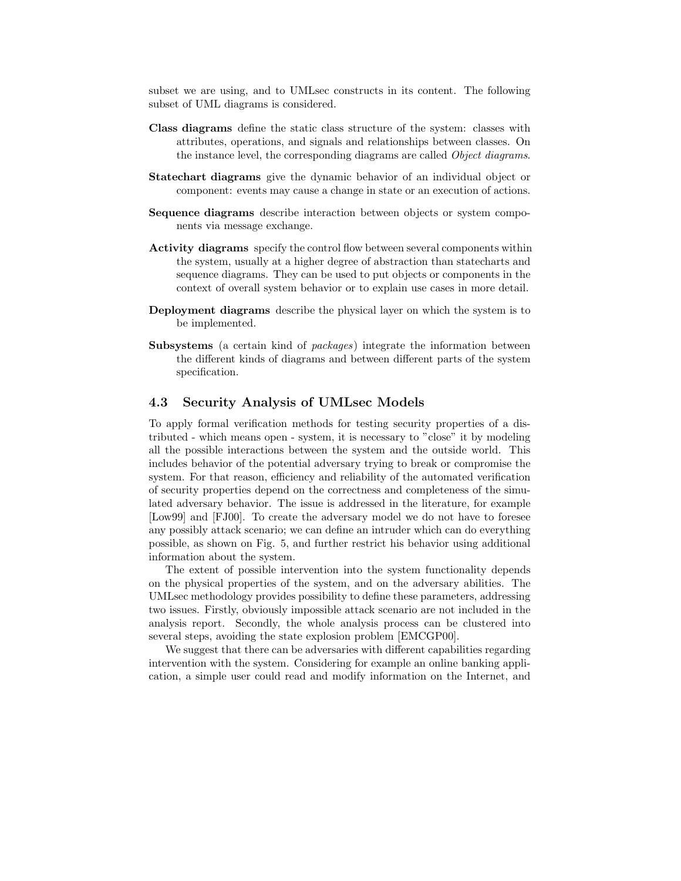subset we are using, and to UMLsec constructs in its content. The following subset of UML diagrams is considered.

- Class diagrams define the static class structure of the system: classes with attributes, operations, and signals and relationships between classes. On the instance level, the corresponding diagrams are called Object diagrams.
- Statechart diagrams give the dynamic behavior of an individual object or component: events may cause a change in state or an execution of actions.
- Sequence diagrams describe interaction between objects or system components via message exchange.
- Activity diagrams specify the control flow between several components within the system, usually at a higher degree of abstraction than statecharts and sequence diagrams. They can be used to put objects or components in the context of overall system behavior or to explain use cases in more detail.
- Deployment diagrams describe the physical layer on which the system is to be implemented.
- Subsystems (a certain kind of packages) integrate the information between the different kinds of diagrams and between different parts of the system specification.

#### 4.3 Security Analysis of UMLsec Models

To apply formal verification methods for testing security properties of a distributed - which means open - system, it is necessary to "close" it by modeling all the possible interactions between the system and the outside world. This includes behavior of the potential adversary trying to break or compromise the system. For that reason, efficiency and reliability of the automated verification of security properties depend on the correctness and completeness of the simulated adversary behavior. The issue is addressed in the literature, for example [Low99] and [FJ00]. To create the adversary model we do not have to foresee any possibly attack scenario; we can define an intruder which can do everything possible, as shown on Fig. 5, and further restrict his behavior using additional information about the system.

The extent of possible intervention into the system functionality depends on the physical properties of the system, and on the adversary abilities. The UMLsec methodology provides possibility to define these parameters, addressing two issues. Firstly, obviously impossible attack scenario are not included in the analysis report. Secondly, the whole analysis process can be clustered into several steps, avoiding the state explosion problem [EMCGP00].

We suggest that there can be adversaries with different capabilities regarding intervention with the system. Considering for example an online banking application, a simple user could read and modify information on the Internet, and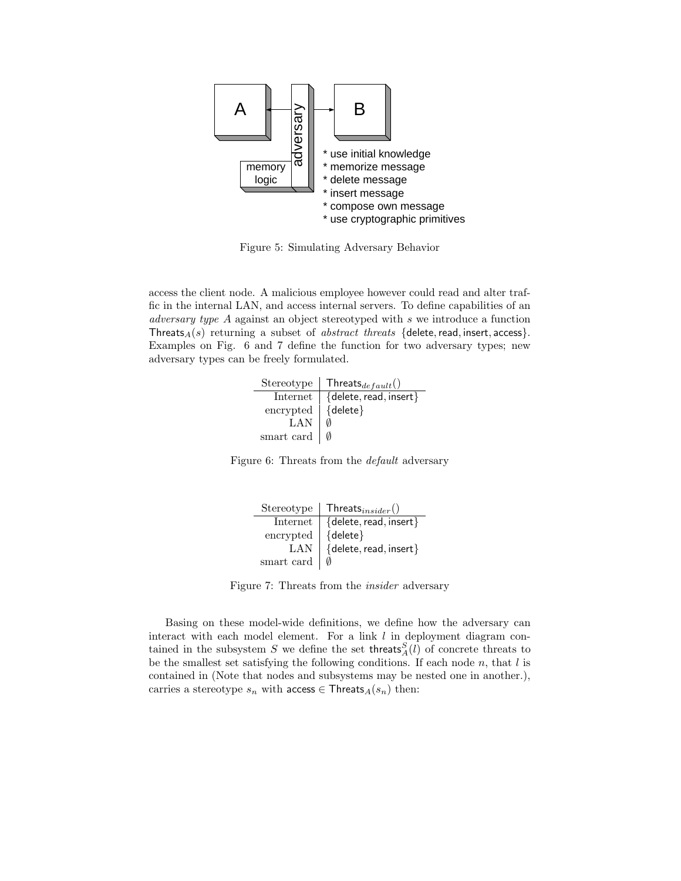

Figure 5: Simulating Adversary Behavior

access the client node. A malicious employee however could read and alter traffic in the internal LAN, and access internal servers. To define capabilities of an adversary type A against an object stereotyped with s we introduce a function Threats<sub>A</sub>(s) returning a subset of *abstract threats* {delete, read, insert, access}. Examples on Fig. 6 and 7 define the function for two adversary types; new adversary types can be freely formulated.

| Stereotype | $Threats_{default}()$  |
|------------|------------------------|
| Internet   | {delete, read, insert} |
| encrypted  | $\{delete\}$           |
| LAN        |                        |
| smart card |                        |

Figure 6: Threats from the default adversary

| Stereotype | $\mathsf{Threats}_{inside}(x)$ |
|------------|--------------------------------|
| Internet   | {delete, read, insert}         |
| encrypted  | ${delete}$                     |
| <b>LAN</b> | {delete, read, insert}         |
| smart card |                                |

Figure 7: Threats from the insider adversary

Basing on these model-wide definitions, we define how the adversary can interact with each model element. For a link  $l$  in deployment diagram contained in the subsystem S we define the set threats  ${}_{A}^{S}(l)$  of concrete threats to be the smallest set satisfying the following conditions. If each node  $n$ , that  $l$  is contained in (Note that nodes and subsystems may be nested one in another.), carries a stereotype  $s_n$  with access  $\in$  Threats $_A(s_n)$  then: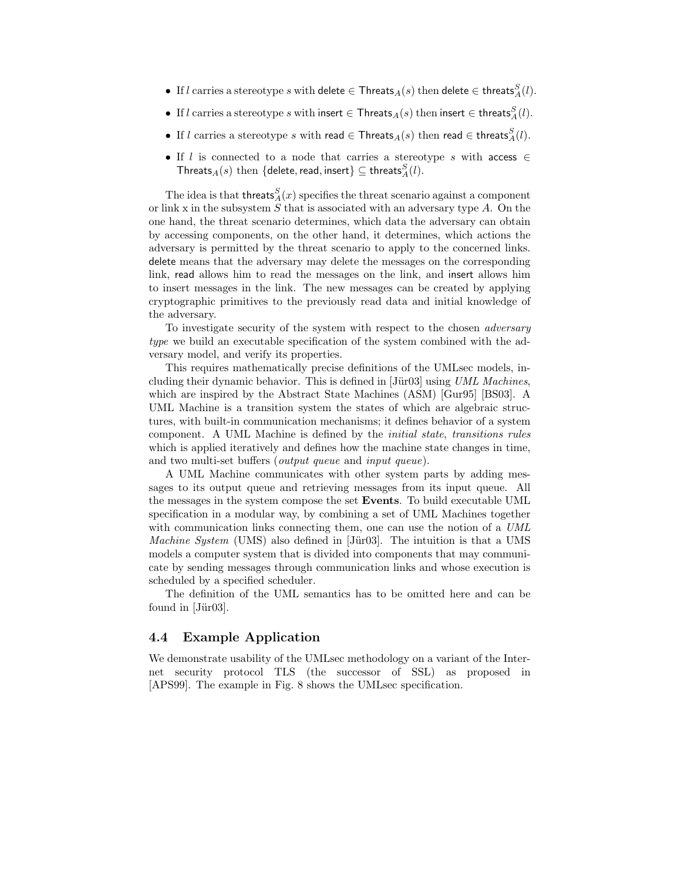- If l carries a stereotype  $s$  with delete  $\in$  Threats $_A(s)$  then delete  $\in$  threats $_A^S(l).$
- If l carries a stereotype s with insert  $\in$  Threats $_A(s)$  then insert  $\in$  threats $_A^S(l)$ .
- If l carries a stereotype s with read  $\in$  Threats $_A(s)$  then read  $\in$  threats $_A^S(l).$
- If l is connected to a node that carries a stereotype s with access  $\in$  $\textsf{Threats}_A(s) \text{ then } \{\textsf{delete}, \textsf{read}, \textsf{insert}\} \subseteq \textsf{threads}_A^S(l).$

The idea is that threats  ${}_{A}^{S}(x)$  specifies the threat scenario against a component or link x in the subsystem  $S$  that is associated with an adversary type  $A$ . On the one hand, the threat scenario determines, which data the adversary can obtain by accessing components, on the other hand, it determines, which actions the adversary is permitted by the threat scenario to apply to the concerned links. delete means that the adversary may delete the messages on the corresponding link, read allows him to read the messages on the link, and insert allows him to insert messages in the link. The new messages can be created by applying cryptographic primitives to the previously read data and initial knowledge of the adversary.

To investigate security of the system with respect to the chosen adversary type we build an executable specification of the system combined with the adversary model, and verify its properties.

This requires mathematically precise definitions of the UMLsec models, including their dynamic behavior. This is defined in  $[\text{Jür03}]$  using UML Machines, which are inspired by the Abstract State Machines (ASM) [Gur95] [BS03]. A UML Machine is a transition system the states of which are algebraic structures, with built-in communication mechanisms; it defines behavior of a system component. A UML Machine is defined by the initial state, transitions rules which is applied iteratively and defines how the machine state changes in time, and two multi-set buffers (output queue and input queue).

A UML Machine communicates with other system parts by adding messages to its output queue and retrieving messages from its input queue. All the messages in the system compose the set Events. To build executable UML specification in a modular way, by combining a set of UML Machines together with communication links connecting them, one can use the notion of a UML *Machine System* (UMS) also defined in [Jür03]. The intuition is that a UMS models a computer system that is divided into components that may communicate by sending messages through communication links and whose execution is scheduled by a specified scheduler.

The definition of the UML semantics has to be omitted here and can be found in  $[J\ddot{u}r03]$ .

#### 4.4 Example Application

We demonstrate usability of the UMLsec methodology on a variant of the Internet security protocol TLS (the successor of SSL) as proposed in [APS99]. The example in Fig. 8 shows the UMLsec specification.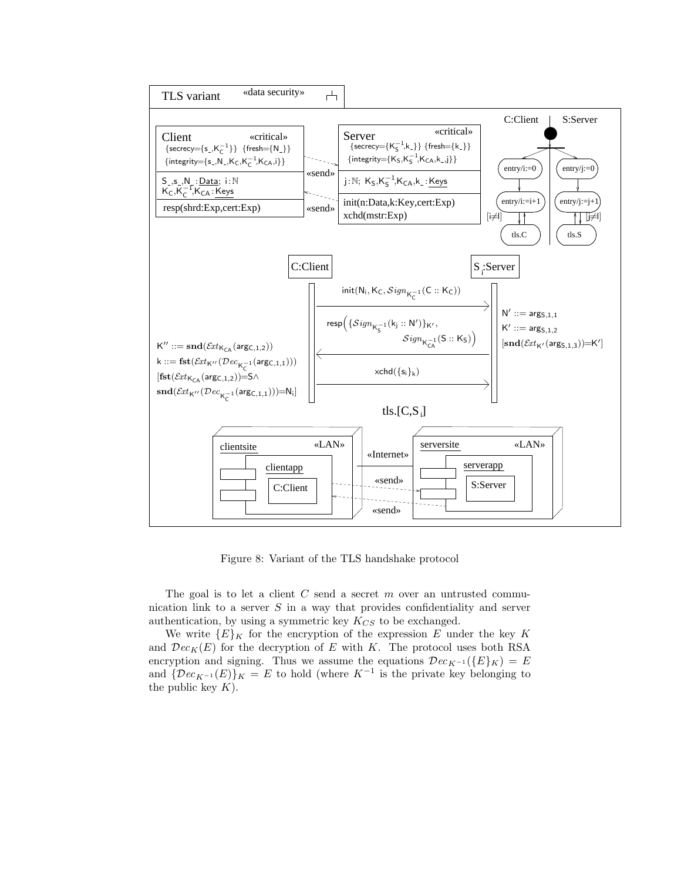

Figure 8: Variant of the TLS handshake protocol

The goal is to let a client  $C$  send a secret  $m$  over an untrusted communication link to a server  $S$  in a way that provides confidentiality and server authentication, by using a symmetric key  $K_{CS}$  to be exchanged.

We write  ${E}_{K}$  for the encryption of the expression E under the key K and  $Dec_K(E)$  for the decryption of E with K. The protocol uses both RSA encryption and signing. Thus we assume the equations  $\mathcal{D}ec_{K^{-1}}(\lbrace E \rbrace_K) = E$ and  $\{\mathcal{D}ec_{K^{-1}}(E)\}_K = E$  to hold (where  $K^{-1}$  is the private key belonging to the public key  $K$ ).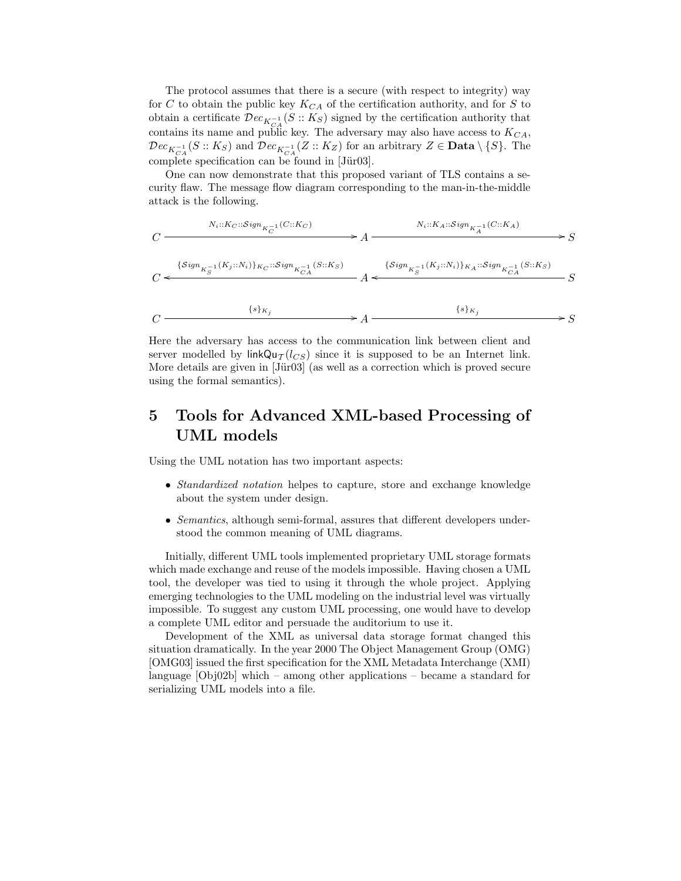The protocol assumes that there is a secure (with respect to integrity) way for C to obtain the public key  $K_{CA}$  of the certification authority, and for S to obtain a certificate  $\mathcal{D}ec_{K_{C_A}^{-1}}(S::K_S)$  signed by the certification authority that contains its name and public key. The adversary may also have access to  $K_{CA}$ ,  $\mathcal{D}ec_{K_{CA}^{-1}}(S::K_S)$  and  $\mathcal{D}ec_{K_{CA}^{-1}}(Z::K_Z)$  for an arbitrary  $Z \in \mathbf{Data} \setminus \{S\}$ . The complete specification can be found in [Jür03].

One can now demonstrate that this proposed variant of TLS contains a security flaw. The message flow diagram corresponding to the man-in-the-middle attack is the following.

$$
C \longrightarrow A
$$
  
\n
$$
C \longrightarrow
$$
  
\n
$$
C \longrightarrow
$$
  
\n
$$
C \longrightarrow
$$
  
\n
$$
\{ \text{Sign}_{K_{S}^{-1}}(K_{j}::N_{i}) \}_{K_{C}}::\text{Sign}_{K_{C}^{-1}}(S::K_{S})} A \longrightarrow B
$$
  
\n
$$
C \longrightarrow
$$
  
\n
$$
\{ \text{Sign}_{K_{S}^{-1}}(K_{j}::N_{i}) \}_{K_{C}::\text{Sign}_{K_{C}^{-1}}(S::K_{S})} A \longrightarrow B
$$
  
\n
$$
\{ \text{Sign}_{K_{S}^{-1}}(K_{j}::N_{i}) \}_{K_{A}}::\text{Sign}_{K_{C}^{-1}}(S::K_{S})} S
$$
  
\n
$$
\{ \text{Sign}_{K_{S}^{-1}}(K_{j}::N_{i}) \}_{K_{A}}::\text{Sign}_{K_{C}^{-1}}(S::K_{S})} S
$$

Here the adversary has access to the communication link between client and server modelled by  $\text{linkQu}_{\mathcal{T}}(l_{CS})$  since it is supposed to be an Internet link. More details are given in  $\left[\text{Jür}03\right]$  (as well as a correction which is proved secure using the formal semantics).

## 5 Tools for Advanced XML-based Processing of UML models

Using the UML notation has two important aspects:

- *Standardized notation* helpes to capture, store and exchange knowledge about the system under design.
- Semantics, although semi-formal, assures that different developers understood the common meaning of UML diagrams.

Initially, different UML tools implemented proprietary UML storage formats which made exchange and reuse of the models impossible. Having chosen a UML tool, the developer was tied to using it through the whole project. Applying emerging technologies to the UML modeling on the industrial level was virtually impossible. To suggest any custom UML processing, one would have to develop a complete UML editor and persuade the auditorium to use it.

Development of the XML as universal data storage format changed this situation dramatically. In the year 2000 The Object Management Group (OMG) [OMG03] issued the first specification for the XML Metadata Interchange (XMI) language [Obj02b] which – among other applications – became a standard for serializing UML models into a file.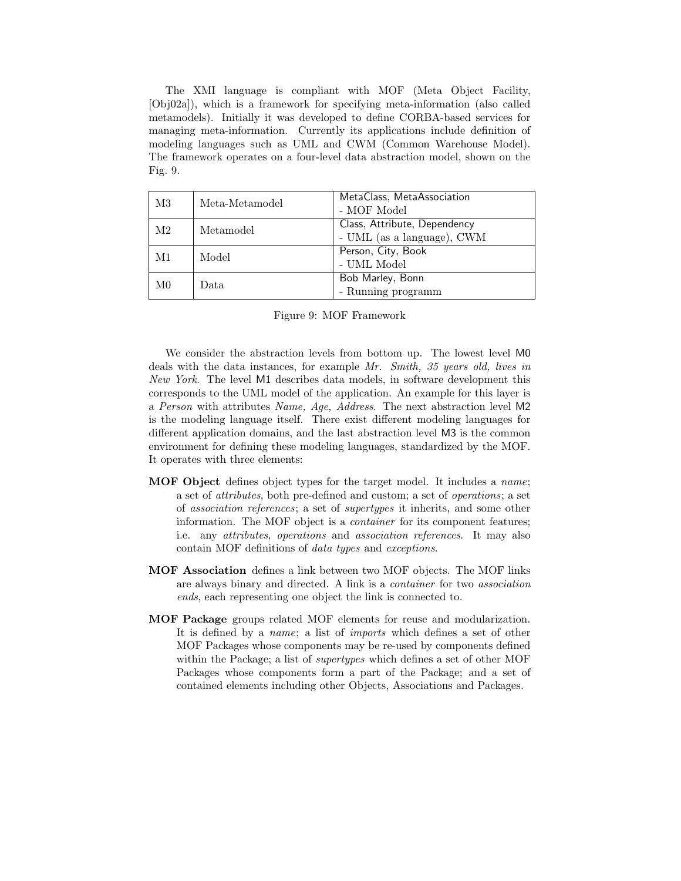The XMI language is compliant with MOF (Meta Object Facility, [Obj02a]), which is a framework for specifying meta-information (also called metamodels). Initially it was developed to define CORBA-based services for managing meta-information. Currently its applications include definition of modeling languages such as UML and CWM (Common Warehouse Model). The framework operates on a four-level data abstraction model, shown on the Fig. 9.

| M3             | Meta-Metamodel | MetaClass, MetaAssociation<br>- MOF Model                  |
|----------------|----------------|------------------------------------------------------------|
| $\rm M2$       | Metamodel      | Class, Attribute, Dependency<br>- UML (as a language), CWM |
| M1             | Model          | Person, City, Book<br>- UML Model                          |
| M <sub>0</sub> | Data.          | Bob Marley, Bonn<br>- Running programm                     |

|  |  | Figure 9: MOF Framework |  |
|--|--|-------------------------|--|
|--|--|-------------------------|--|

We consider the abstraction levels from bottom up. The lowest level M0 deals with the data instances, for example Mr. Smith, 35 years old, lives in New York. The level M1 describes data models, in software development this corresponds to the UML model of the application. An example for this layer is a Person with attributes Name, Age, Address. The next abstraction level M2 is the modeling language itself. There exist different modeling languages for different application domains, and the last abstraction level M3 is the common environment for defining these modeling languages, standardized by the MOF. It operates with three elements:

- MOF Object defines object types for the target model. It includes a name; a set of attributes, both pre-defined and custom; a set of operations; a set of association references; a set of supertypes it inherits, and some other information. The MOF object is a *container* for its component features; i.e. any attributes, operations and association references. It may also contain MOF definitions of data types and exceptions.
- MOF Association defines a link between two MOF objects. The MOF links are always binary and directed. A link is a container for two association ends, each representing one object the link is connected to.
- MOF Package groups related MOF elements for reuse and modularization. It is defined by a name; a list of imports which defines a set of other MOF Packages whose components may be re-used by components defined within the Package; a list of supertypes which defines a set of other MOF Packages whose components form a part of the Package; and a set of contained elements including other Objects, Associations and Packages.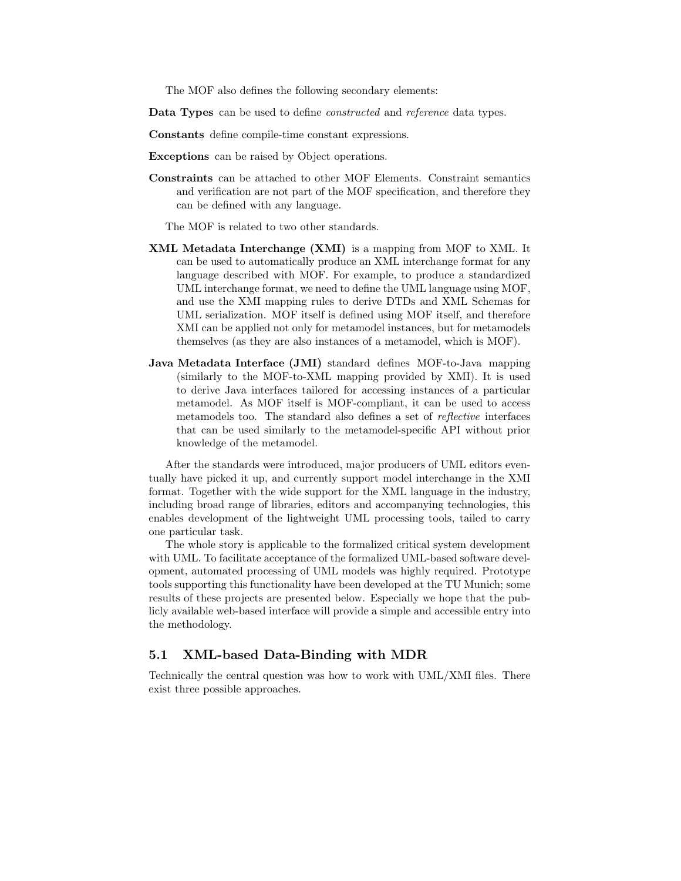The MOF also defines the following secondary elements:

Data Types can be used to define *constructed* and *reference* data types.

Constants define compile-time constant expressions.

- Exceptions can be raised by Object operations.
- Constraints can be attached to other MOF Elements. Constraint semantics and verification are not part of the MOF specification, and therefore they can be defined with any language.

The MOF is related to two other standards.

- XML Metadata Interchange (XMI) is a mapping from MOF to XML. It can be used to automatically produce an XML interchange format for any language described with MOF. For example, to produce a standardized UML interchange format, we need to define the UML language using MOF, and use the XMI mapping rules to derive DTDs and XML Schemas for UML serialization. MOF itself is defined using MOF itself, and therefore XMI can be applied not only for metamodel instances, but for metamodels themselves (as they are also instances of a metamodel, which is MOF).
- Java Metadata Interface (JMI) standard defines MOF-to-Java mapping (similarly to the MOF-to-XML mapping provided by XMI). It is used to derive Java interfaces tailored for accessing instances of a particular metamodel. As MOF itself is MOF-compliant, it can be used to access metamodels too. The standard also defines a set of reflective interfaces that can be used similarly to the metamodel-specific API without prior knowledge of the metamodel.

After the standards were introduced, major producers of UML editors eventually have picked it up, and currently support model interchange in the XMI format. Together with the wide support for the XML language in the industry, including broad range of libraries, editors and accompanying technologies, this enables development of the lightweight UML processing tools, tailed to carry one particular task.

The whole story is applicable to the formalized critical system development with UML. To facilitate acceptance of the formalized UML-based software development, automated processing of UML models was highly required. Prototype tools supporting this functionality have been developed at the TU Munich; some results of these projects are presented below. Especially we hope that the publicly available web-based interface will provide a simple and accessible entry into the methodology.

#### 5.1 XML-based Data-Binding with MDR

Technically the central question was how to work with UML/XMI files. There exist three possible approaches.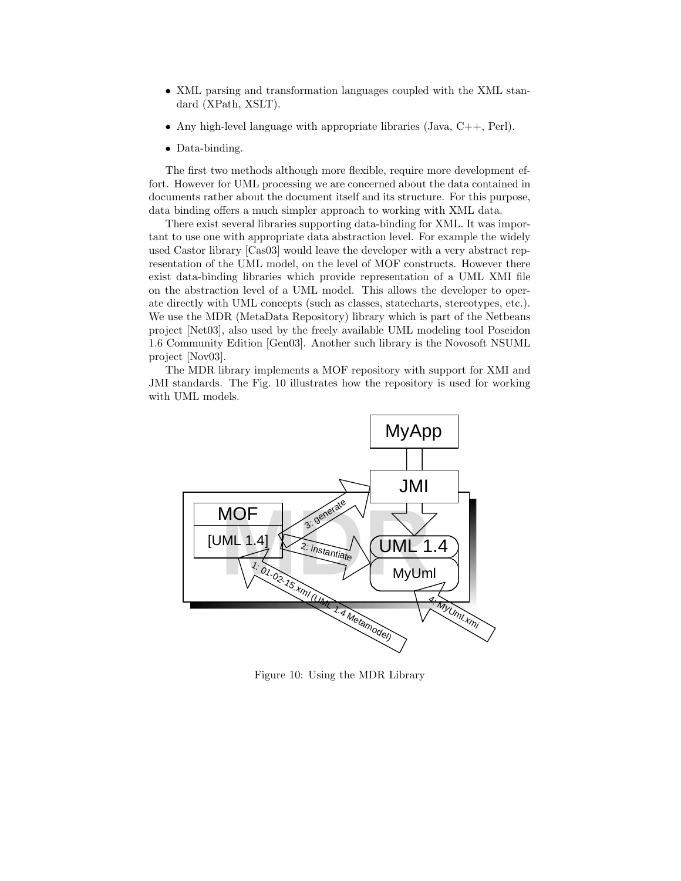- XML parsing and transformation languages coupled with the XML standard (XPath, XSLT).
- Any high-level language with appropriate libraries (Java, C++, Perl).
- Data-binding.

The first two methods although more flexible, require more development effort. However for UML processing we are concerned about the data contained in documents rather about the document itself and its structure. For this purpose, data binding offers a much simpler approach to working with XML data.

There exist several libraries supporting data-binding for XML. It was important to use one with appropriate data abstraction level. For example the widely used Castor library [Cas03] would leave the developer with a very abstract representation of the UML model, on the level of MOF constructs. However there exist data-binding libraries which provide representation of a UML XMI file on the abstraction level of a UML model. This allows the developer to operate directly with UML concepts (such as classes, statecharts, stereotypes, etc.). We use the MDR (MetaData Repository) library which is part of the Netbeans project [Net03], also used by the freely available UML modeling tool Poseidon 1.6 Community Edition [Gen03]. Another such library is the Novosoft NSUML project [Nov03].

PSfrag replacements MDR library implements a MOF repository with support for XMI and  $\text{Init}(\mathsf{N}_i, \mathsf{K}_c, \mathcal{S}ign_{\mathsf{K}_c^{-1}}(\mathsf{G}\mathsf{M}\mathsf{K}\mathsf{S}\mathsf{W})$  and ards. The Fig. 10 illustrates how the repository is used for working with UML models. resp³ {Sign<sup>K</sup> −1 S (k<sup>j</sup> :: N<sup>0</sup> )}K<sup>0</sup> ,



Figure 10: Using the MDR Library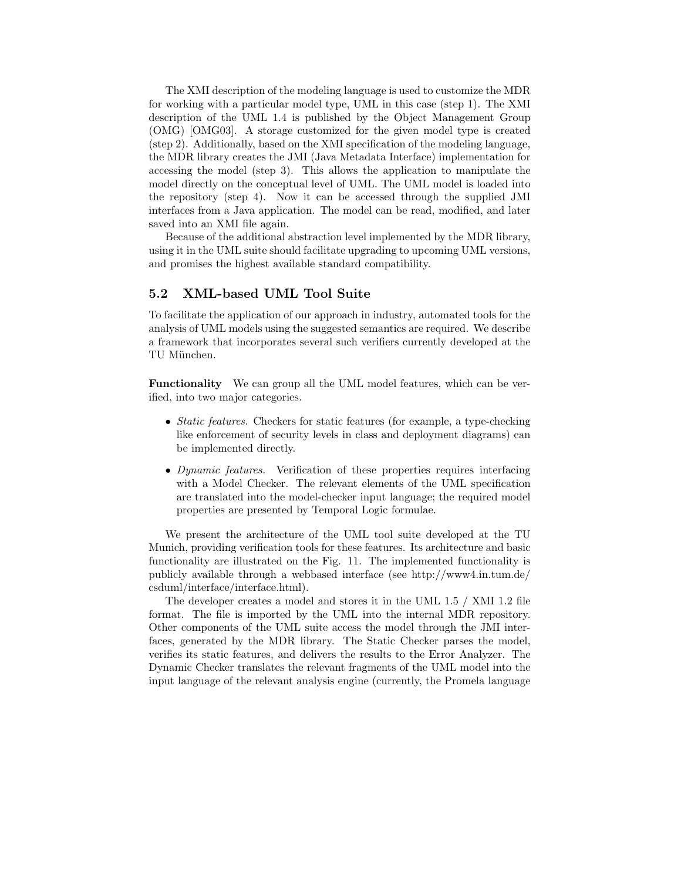The XMI description of the modeling language is used to customize the MDR for working with a particular model type, UML in this case (step 1). The XMI description of the UML 1.4 is published by the Object Management Group (OMG) [OMG03]. A storage customized for the given model type is created (step 2). Additionally, based on the XMI specification of the modeling language, the MDR library creates the JMI (Java Metadata Interface) implementation for accessing the model (step 3). This allows the application to manipulate the model directly on the conceptual level of UML. The UML model is loaded into the repository (step 4). Now it can be accessed through the supplied JMI interfaces from a Java application. The model can be read, modified, and later saved into an XMI file again.

Because of the additional abstraction level implemented by the MDR library, using it in the UML suite should facilitate upgrading to upcoming UML versions, and promises the highest available standard compatibility.

#### 5.2 XML-based UML Tool Suite

To facilitate the application of our approach in industry, automated tools for the analysis of UML models using the suggested semantics are required. We describe a framework that incorporates several such verifiers currently developed at the TU München.

Functionality We can group all the UML model features, which can be verified, into two major categories.

- *Static features*. Checkers for static features (for example, a type-checking like enforcement of security levels in class and deployment diagrams) can be implemented directly.
- Dynamic features. Verification of these properties requires interfacing with a Model Checker. The relevant elements of the UML specification are translated into the model-checker input language; the required model properties are presented by Temporal Logic formulae.

We present the architecture of the UML tool suite developed at the TU Munich, providing verification tools for these features. Its architecture and basic functionality are illustrated on the Fig. 11. The implemented functionality is publicly available through a webbased interface (see http://www4.in.tum.de/ csduml/interface/interface.html).

The developer creates a model and stores it in the UML 1.5 / XMI 1.2 file format. The file is imported by the UML into the internal MDR repository. Other components of the UML suite access the model through the JMI interfaces, generated by the MDR library. The Static Checker parses the model, verifies its static features, and delivers the results to the Error Analyzer. The Dynamic Checker translates the relevant fragments of the UML model into the input language of the relevant analysis engine (currently, the Promela language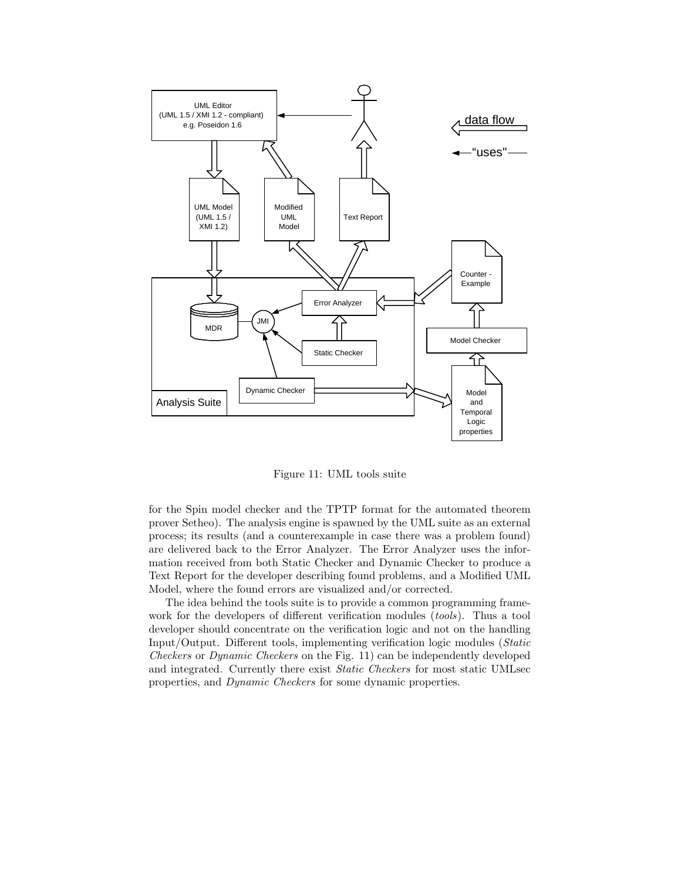

Figure 11: UML tools suite

for the Spin model checker and the TPTP format for the automated theorem prover Setheo). The analysis engine is spawned by the UML suite as an external process; its results (and a counterexample in case there was a problem found) are delivered back to the Error Analyzer. The Error Analyzer uses the information received from both Static Checker and Dynamic Checker to produce a Text Report for the developer describing found problems, and a Modified UML Model, where the found errors are visualized and/or corrected.

The idea behind the tools suite is to provide a common programming framework for the developers of different verification modules *(tools)*. Thus a tool developer should concentrate on the verification logic and not on the handling Input/Output. Different tools, implementing verification logic modules (Static Checkers or Dynamic Checkers on the Fig. 11) can be independently developed and integrated. Currently there exist Static Checkers for most static UMLsec properties, and Dynamic Checkers for some dynamic properties.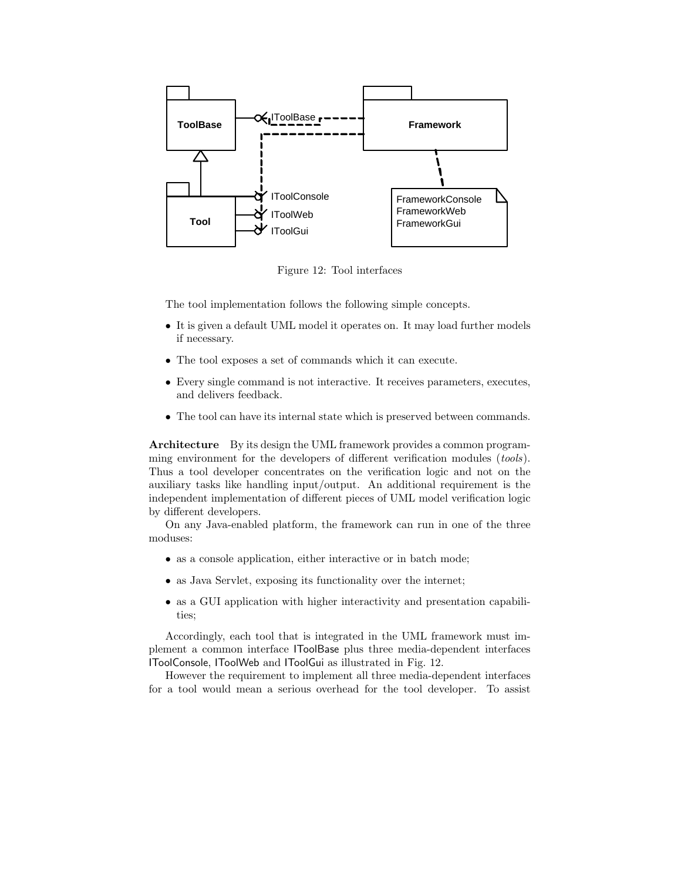

Figure 12: Tool interfaces

The tool implementation follows the following simple concepts.

- It is given a default UML model it operates on. It may load further models if necessary.
- The tool exposes a set of commands which it can execute.
- Every single command is not interactive. It receives parameters, executes, and delivers feedback.
- The tool can have its internal state which is preserved between commands.

Architecture By its design the UML framework provides a common programming environment for the developers of different verification modules (tools). Thus a tool developer concentrates on the verification logic and not on the auxiliary tasks like handling input/output. An additional requirement is the independent implementation of different pieces of UML model verification logic by different developers.

On any Java-enabled platform, the framework can run in one of the three moduses:

- as a console application, either interactive or in batch mode;
- as Java Servlet, exposing its functionality over the internet;
- as a GUI application with higher interactivity and presentation capabilities;

Accordingly, each tool that is integrated in the UML framework must implement a common interface IToolBase plus three media-dependent interfaces IToolConsole, IToolWeb and IToolGui as illustrated in Fig. 12.

However the requirement to implement all three media-dependent interfaces for a tool would mean a serious overhead for the tool developer. To assist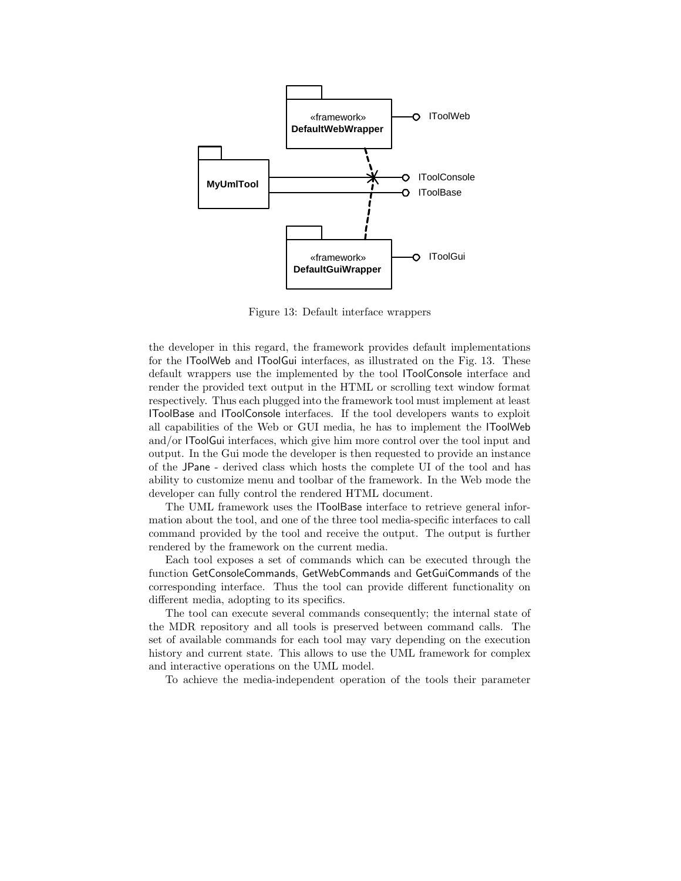

Figure 13: Default interface wrappers

the developer in this regard, the framework provides default implementations for the IToolWeb and IToolGui interfaces, as illustrated on the Fig. 13. These default wrappers use the implemented by the tool IToolConsole interface and render the provided text output in the HTML or scrolling text window format respectively. Thus each plugged into the framework tool must implement at least IToolBase and IToolConsole interfaces. If the tool developers wants to exploit all capabilities of the Web or GUI media, he has to implement the IToolWeb and/or IToolGui interfaces, which give him more control over the tool input and output. In the Gui mode the developer is then requested to provide an instance of the JPane - derived class which hosts the complete UI of the tool and has ability to customize menu and toolbar of the framework. In the Web mode the developer can fully control the rendered HTML document.

The UML framework uses the IToolBase interface to retrieve general information about the tool, and one of the three tool media-specific interfaces to call command provided by the tool and receive the output. The output is further rendered by the framework on the current media.

Each tool exposes a set of commands which can be executed through the function GetConsoleCommands, GetWebCommands and GetGuiCommands of the corresponding interface. Thus the tool can provide different functionality on different media, adopting to its specifics.

The tool can execute several commands consequently; the internal state of the MDR repository and all tools is preserved between command calls. The set of available commands for each tool may vary depending on the execution history and current state. This allows to use the UML framework for complex and interactive operations on the UML model.

To achieve the media-independent operation of the tools their parameter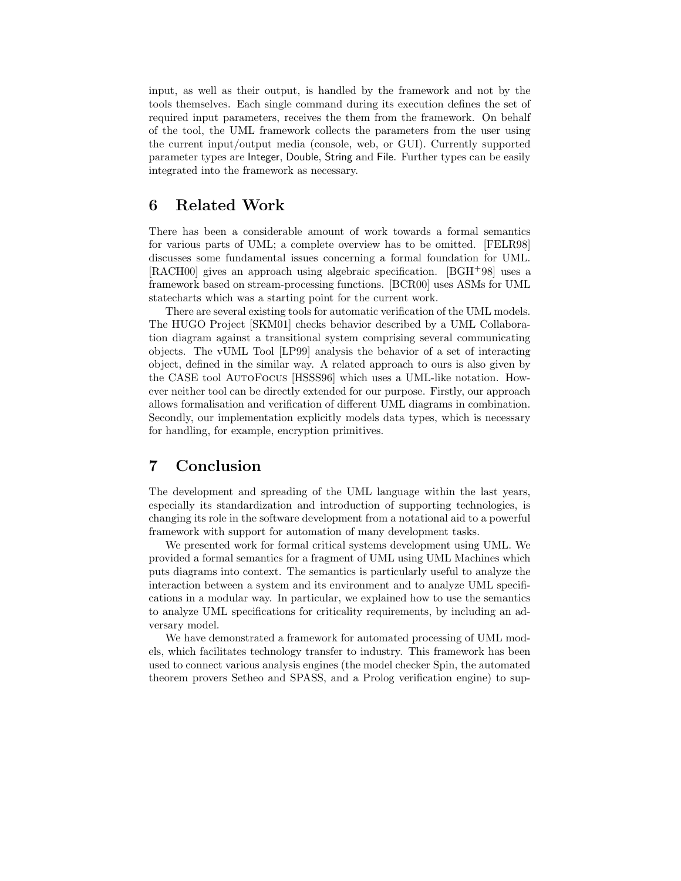input, as well as their output, is handled by the framework and not by the tools themselves. Each single command during its execution defines the set of required input parameters, receives the them from the framework. On behalf of the tool, the UML framework collects the parameters from the user using the current input/output media (console, web, or GUI). Currently supported parameter types are Integer, Double, String and File. Further types can be easily integrated into the framework as necessary.

### 6 Related Work

There has been a considerable amount of work towards a formal semantics for various parts of UML; a complete overview has to be omitted. [FELR98] discusses some fundamental issues concerning a formal foundation for UML. [RACH00] gives an approach using algebraic specification. [BGH<sup>+</sup>98] uses a framework based on stream-processing functions. [BCR00] uses ASMs for UML statecharts which was a starting point for the current work.

There are several existing tools for automatic verification of the UML models. The HUGO Project [SKM01] checks behavior described by a UML Collaboration diagram against a transitional system comprising several communicating objects. The vUML Tool [LP99] analysis the behavior of a set of interacting object, defined in the similar way. A related approach to ours is also given by the CASE tool AutoFocus [HSSS96] which uses a UML-like notation. However neither tool can be directly extended for our purpose. Firstly, our approach allows formalisation and verification of different UML diagrams in combination. Secondly, our implementation explicitly models data types, which is necessary for handling, for example, encryption primitives.

## 7 Conclusion

The development and spreading of the UML language within the last years, especially its standardization and introduction of supporting technologies, is changing its role in the software development from a notational aid to a powerful framework with support for automation of many development tasks.

We presented work for formal critical systems development using UML. We provided a formal semantics for a fragment of UML using UML Machines which puts diagrams into context. The semantics is particularly useful to analyze the interaction between a system and its environment and to analyze UML specifications in a modular way. In particular, we explained how to use the semantics to analyze UML specifications for criticality requirements, by including an adversary model.

We have demonstrated a framework for automated processing of UML models, which facilitates technology transfer to industry. This framework has been used to connect various analysis engines (the model checker Spin, the automated theorem provers Setheo and SPASS, and a Prolog verification engine) to sup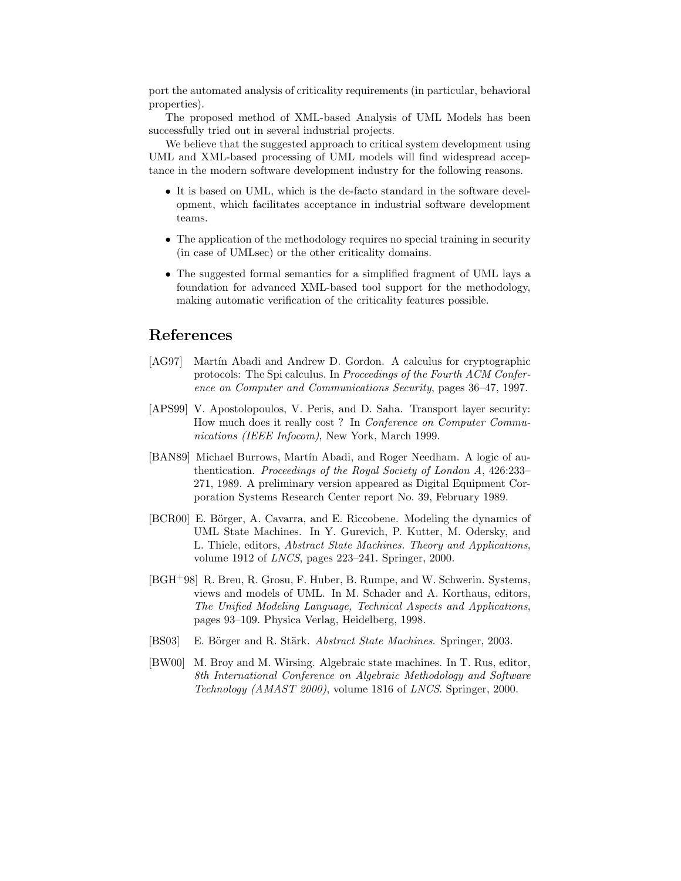port the automated analysis of criticality requirements (in particular, behavioral properties).

The proposed method of XML-based Analysis of UML Models has been successfully tried out in several industrial projects.

We believe that the suggested approach to critical system development using UML and XML-based processing of UML models will find widespread acceptance in the modern software development industry for the following reasons.

- It is based on UML, which is the de-facto standard in the software development, which facilitates acceptance in industrial software development teams.
- The application of the methodology requires no special training in security (in case of UMLsec) or the other criticality domains.
- The suggested formal semantics for a simplified fragment of UML lays a foundation for advanced XML-based tool support for the methodology, making automatic verification of the criticality features possible.

## References

- [AG97] Martín Abadi and Andrew D. Gordon. A calculus for cryptographic protocols: The Spi calculus. In Proceedings of the Fourth ACM Conference on Computer and Communications Security, pages 36–47, 1997.
- [APS99] V. Apostolopoulos, V. Peris, and D. Saha. Transport layer security: How much does it really cost ? In Conference on Computer Communications *(IEEE Infocom)*, New York, March 1999.
- [BAN89] Michael Burrows, Martín Abadi, and Roger Needham. A logic of authentication. Proceedings of the Royal Society of London A, 426:233– 271, 1989. A preliminary version appeared as Digital Equipment Corporation Systems Research Center report No. 39, February 1989.
- [BCR00] E. Börger, A. Cavarra, and E. Riccobene. Modeling the dynamics of UML State Machines. In Y. Gurevich, P. Kutter, M. Odersky, and L. Thiele, editors, Abstract State Machines. Theory and Applications, volume 1912 of LNCS, pages 223–241. Springer, 2000.
- [BGH<sup>+</sup>98] R. Breu, R. Grosu, F. Huber, B. Rumpe, and W. Schwerin. Systems, views and models of UML. In M. Schader and A. Korthaus, editors, The Unified Modeling Language, Technical Aspects and Applications, pages 93–109. Physica Verlag, Heidelberg, 1998.
- [BS03] E. Börger and R. Stärk. Abstract State Machines. Springer, 2003.
- [BW00] M. Broy and M. Wirsing. Algebraic state machines. In T. Rus, editor, 8th International Conference on Algebraic Methodology and Software Technology (AMAST 2000), volume 1816 of LNCS. Springer, 2000.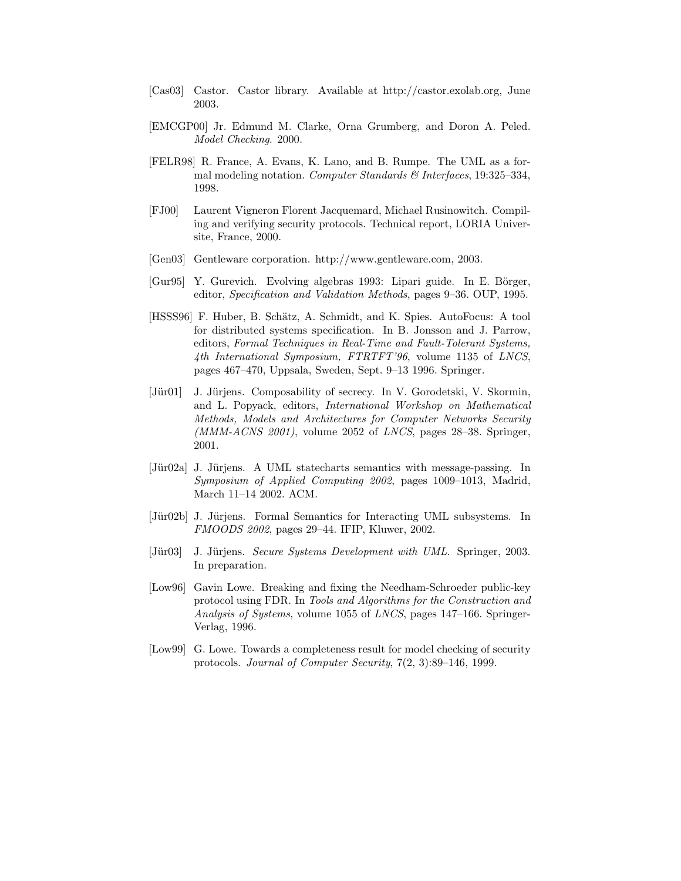- [Cas03] Castor. Castor library. Available at http://castor.exolab.org, June 2003.
- [EMCGP00] Jr. Edmund M. Clarke, Orna Grumberg, and Doron A. Peled. Model Checking. 2000.
- [FELR98] R. France, A. Evans, K. Lano, and B. Rumpe. The UML as a formal modeling notation. Computer Standards  $\mathcal{C}$  Interfaces, 19:325–334, 1998.
- [FJ00] Laurent Vigneron Florent Jacquemard, Michael Rusinowitch. Compiling and verifying security protocols. Technical report, LORIA Universite, France, 2000.
- [Gen03] Gentleware corporation. http://www.gentleware.com, 2003.
- [Gur95] Y. Gurevich. Evolving algebras 1993: Lipari guide. In E. Börger, editor, Specification and Validation Methods, pages 9–36. OUP, 1995.
- [HSSS96] F. Huber, B. Schätz, A. Schmidt, and K. Spies. AutoFocus: A tool for distributed systems specification. In B. Jonsson and J. Parrow, editors, Formal Techniques in Real-Time and Fault-Tolerant Systems, 4th International Symposium, FTRTFT'96, volume 1135 of LNCS, pages 467–470, Uppsala, Sweden, Sept. 9–13 1996. Springer.
- [Jür01] J. Jürjens. Composability of secrecy. In V. Gorodetski, V. Skormin, and L. Popyack, editors, International Workshop on Mathematical Methods, Models and Architectures for Computer Networks Security  $(MMM-ACNS 2001)$ , volume 2052 of *LNCS*, pages 28–38. Springer, 2001.
- [Jür02a] J. Jürjens. A UML statecharts semantics with message-passing. In Symposium of Applied Computing 2002, pages 1009–1013, Madrid, March 11–14 2002. ACM.
- [Jür02b] J. Jürjens. Formal Semantics for Interacting UML subsystems. In FMOODS 2002, pages 29–44. IFIP, Kluwer, 2002.
- [Jür03] J. Jürjens. Secure Systems Development with UML. Springer, 2003. In preparation.
- [Low96] Gavin Lowe. Breaking and fixing the Needham-Schroeder public-key protocol using FDR. In Tools and Algorithms for the Construction and Analysis of Systems, volume 1055 of LNCS, pages 147–166. Springer-Verlag, 1996.
- [Low99] G. Lowe. Towards a completeness result for model checking of security protocols. Journal of Computer Security, 7(2, 3):89–146, 1999.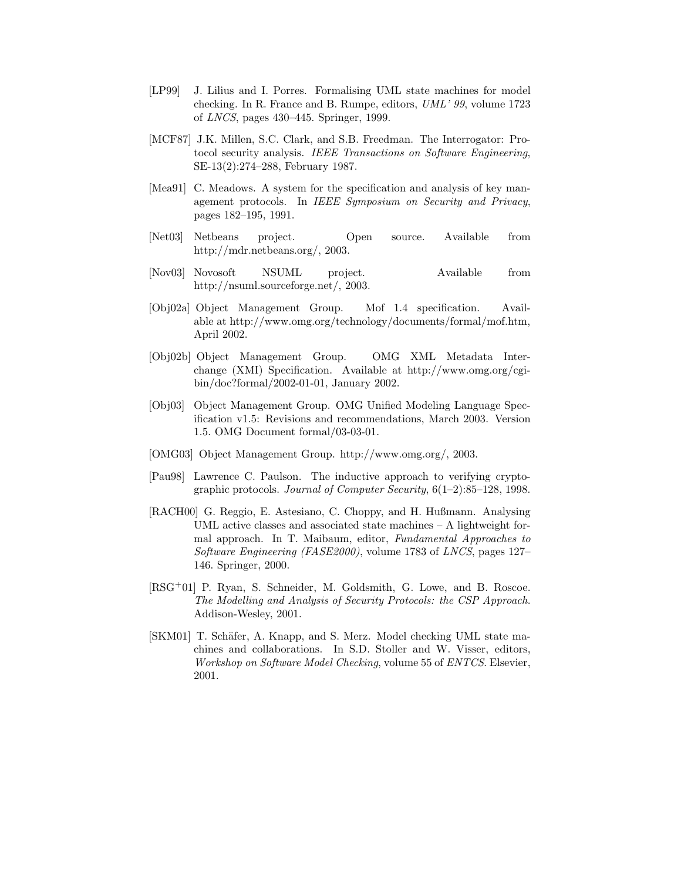- [LP99] J. Lilius and I. Porres. Formalising UML state machines for model checking. In R. France and B. Rumpe, editors, UML' 99, volume 1723 of LNCS, pages 430–445. Springer, 1999.
- [MCF87] J.K. Millen, S.C. Clark, and S.B. Freedman. The Interrogator: Protocol security analysis. IEEE Transactions on Software Engineering, SE-13(2):274–288, February 1987.
- [Mea91] C. Meadows. A system for the specification and analysis of key management protocols. In IEEE Symposium on Security and Privacy, pages 182–195, 1991.
- [Net03] Netbeans project. Open source. Available from http://mdr.netbeans.org/, 2003.
- [Nov03] Novosoft NSUML project. Available from http://nsuml.sourceforge.net/, 2003.
- [Obj02a] Object Management Group. Mof 1.4 specification. Available at http://www.omg.org/technology/documents/formal/mof.htm, April 2002.
- [Obj02b] Object Management Group. OMG XML Metadata Interchange (XMI) Specification. Available at http://www.omg.org/cgibin/doc?formal/2002-01-01, January 2002.
- [Obj03] Object Management Group. OMG Unified Modeling Language Specification v1.5: Revisions and recommendations, March 2003. Version 1.5. OMG Document formal/03-03-01.
- [OMG03] Object Management Group. http://www.omg.org/, 2003.
- [Pau98] Lawrence C. Paulson. The inductive approach to verifying cryptographic protocols. Journal of Computer Security, 6(1–2):85–128, 1998.
- [RACH00] G. Reggio, E. Astesiano, C. Choppy, and H. Hußmann. Analysing UML active classes and associated state machines – A lightweight formal approach. In T. Maibaum, editor, Fundamental Approaches to Software Engineering (FASE2000), volume 1783 of LNCS, pages 127– 146. Springer, 2000.
- [RSG<sup>+</sup>01] P. Ryan, S. Schneider, M. Goldsmith, G. Lowe, and B. Roscoe. The Modelling and Analysis of Security Protocols: the CSP Approach. Addison-Wesley, 2001.
- [SKM01] T. Schäfer, A. Knapp, and S. Merz. Model checking UML state machines and collaborations. In S.D. Stoller and W. Visser, editors, Workshop on Software Model Checking, volume 55 of ENTCS. Elsevier, 2001.